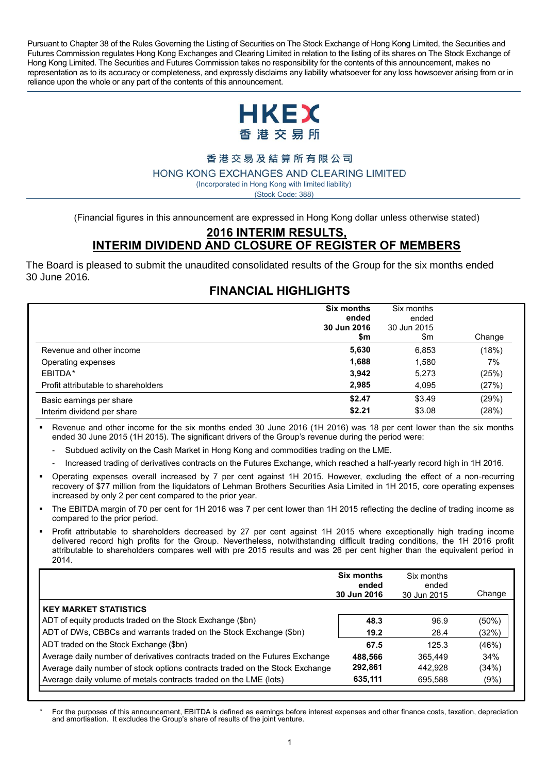Pursuant to Chapter 38 of the Rules Governing the Listing of Securities on The Stock Exchange of Hong Kong Limited, the Securities and Futures Commission regulates Hong Kong Exchanges and Clearing Limited in relation to the listing of its shares on The Stock Exchange of Hong Kong Limited. The Securities and Futures Commission takes no responsibility for the contents of this announcement, makes no representation as to its accuracy or completeness, and expressly disclaims any liability whatsoever for any loss howsoever arising from or in reliance upon the whole or any part of the contents of this announcement.



# 香港交易及結算所有限公司

#### HONG KONG EXCHANGES AND CLEARING LIMITED

(Incorporated in Hong Kong with limited liability) (Stock Code: 388)

(Financial figures in this announcement are expressed in Hong Kong dollar unless otherwise stated)

### **2016 INTERIM RESULTS, INTERIM DIVIDEND AND CLOSURE OF REGISTER OF MEMBERS**

The Board is pleased to submit the unaudited consolidated results of the Group for the six months ended 30 June 2016.

# **FINANCIAL HIGHLIGHTS**

|                                     | <b>Six months</b><br>ended<br>30 Jun 2016<br>\$m | Six months<br>ended<br>30 Jun 2015<br>\$m | Change |
|-------------------------------------|--------------------------------------------------|-------------------------------------------|--------|
| Revenue and other income            | 5,630                                            | 6,853                                     | (18%)  |
| Operating expenses                  | 1,688                                            | 1,580                                     | 7%     |
| EBITDA*                             | 3.942                                            | 5,273                                     | (25%)  |
| Profit attributable to shareholders | 2.985                                            | 4.095                                     | (27%)  |
| Basic earnings per share            | \$2.47                                           | \$3.49                                    | (29%)  |
| Interim dividend per share          | \$2.21                                           | \$3.08                                    | (28%)  |

 Revenue and other income for the six months ended 30 June 2016 (1H 2016) was 18 per cent lower than the six months ended 30 June 2015 (1H 2015). The significant drivers of the Group's revenue during the period were:

- Subdued activity on the Cash Market in Hong Kong and commodities trading on the LME.
- Increased trading of derivatives contracts on the Futures Exchange, which reached a half-yearly record high in 1H 2016.
- Operating expenses overall increased by 7 per cent against 1H 2015. However, excluding the effect of a non-recurring recovery of \$77 million from the liquidators of Lehman Brothers Securities Asia Limited in 1H 2015, core operating expenses increased by only 2 per cent compared to the prior year.
- The EBITDA margin of 70 per cent for 1H 2016 was 7 per cent lower than 1H 2015 reflecting the decline of trading income as compared to the prior period.
- Profit attributable to shareholders decreased by 27 per cent against 1H 2015 where exceptionally high trading income delivered record high profits for the Group. Nevertheless, notwithstanding difficult trading conditions, the 1H 2016 profit attributable to shareholders compares well with pre 2015 results and was 26 per cent higher than the equivalent period in 2014.

| <b>Six months</b><br>ended<br>30 Jun 2016 | Six months<br>ended<br>30 Jun 2015 | Change   |
|-------------------------------------------|------------------------------------|----------|
|                                           |                                    |          |
| 48.3                                      | 96.9                               | $(50\%)$ |
| 19.2                                      | 28.4                               | (32%)    |
| 67.5                                      | 125.3                              | (46%)    |
| 488,566                                   | 365.449                            | 34%      |
| 292,861                                   | 442.928                            | (34%)    |
| 635,111                                   | 695.588                            | (9%)     |
|                                           |                                    |          |

*\** For the purposes of this announcement, EBITDA is defined as earnings before interest expenses and other finance costs, taxation, depreciation and amortisation. It excludes the Group's share of results of the joint venture.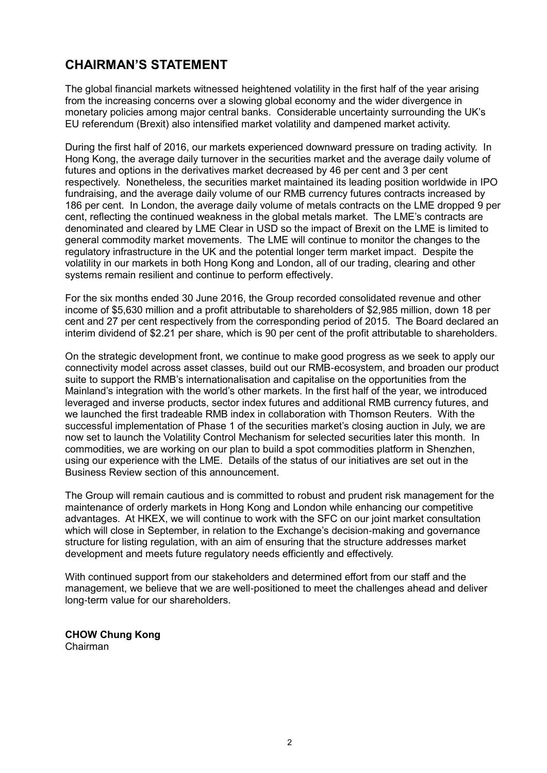# **CHAIRMAN'S STATEMENT**

The global financial markets witnessed heightened volatility in the first half of the year arising from the increasing concerns over a slowing global economy and the wider divergence in monetary policies among major central banks. Considerable uncertainty surrounding the UK's EU referendum (Brexit) also intensified market volatility and dampened market activity.

During the first half of 2016, our markets experienced downward pressure on trading activity. In Hong Kong, the average daily turnover in the securities market and the average daily volume of futures and options in the derivatives market decreased by 46 per cent and 3 per cent respectively. Nonetheless, the securities market maintained its leading position worldwide in IPO fundraising, and the average daily volume of our RMB currency futures contracts increased by 186 per cent. In London, the average daily volume of metals contracts on the LME dropped 9 per cent, reflecting the continued weakness in the global metals market. The LME's contracts are denominated and cleared by LME Clear in USD so the impact of Brexit on the LME is limited to general commodity market movements. The LME will continue to monitor the changes to the regulatory infrastructure in the UK and the potential longer term market impact. Despite the volatility in our markets in both Hong Kong and London, all of our trading, clearing and other systems remain resilient and continue to perform effectively.

For the six months ended 30 June 2016, the Group recorded consolidated revenue and other income of \$5,630 million and a profit attributable to shareholders of \$2,985 million, down 18 per cent and 27 per cent respectively from the corresponding period of 2015. The Board declared an interim dividend of \$2.21 per share, which is 90 per cent of the profit attributable to shareholders.

On the strategic development front, we continue to make good progress as we seek to apply our connectivity model across asset classes, build out our RMB-ecosystem, and broaden our product suite to support the RMB's internationalisation and capitalise on the opportunities from the Mainland's integration with the world's other markets. In the first half of the year, we introduced leveraged and inverse products, sector index futures and additional RMB currency futures, and we launched the first tradeable RMB index in collaboration with Thomson Reuters. With the successful implementation of Phase 1 of the securities market's closing auction in July, we are now set to launch the Volatility Control Mechanism for selected securities later this month. In commodities, we are working on our plan to build a spot commodities platform in Shenzhen, using our experience with the LME. Details of the status of our initiatives are set out in the Business Review section of this announcement.

The Group will remain cautious and is committed to robust and prudent risk management for the maintenance of orderly markets in Hong Kong and London while enhancing our competitive advantages. At HKEX, we will continue to work with the SFC on our joint market consultation which will close in September, in relation to the Exchange's decision-making and governance structure for listing regulation, with an aim of ensuring that the structure addresses market development and meets future regulatory needs efficiently and effectively.

With continued support from our stakeholders and determined effort from our staff and the management, we believe that we are well-positioned to meet the challenges ahead and deliver long-term value for our shareholders.

**CHOW Chung Kong** Chairman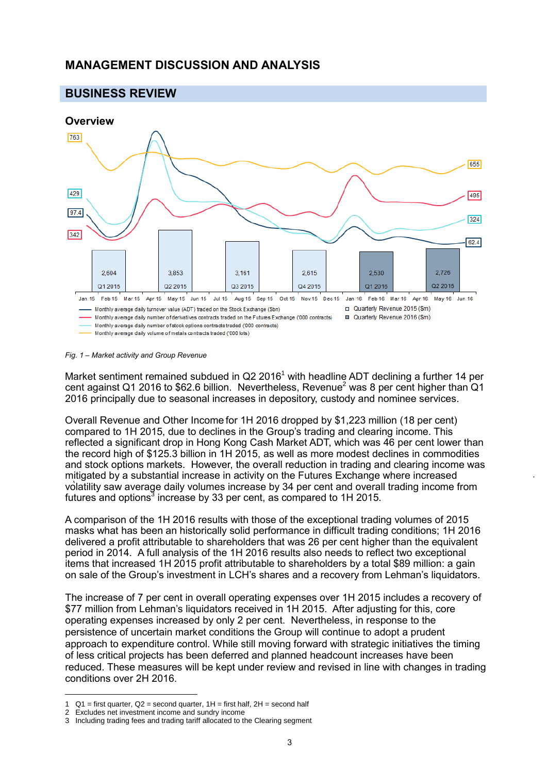# **MANAGEMENT DISCUSSION AND ANALYSIS**



*Fig. 1 – Market activity and Group Revenue*

Market sentiment remained subdued in  $Q2 2016<sup>1</sup>$  with headline ADT declining a further 14 per cent against Q1 2016 to \$62.6 billion. Nevertheless, Revenue<sup>2</sup> was 8 per cent higher than Q1 2016 principally due to seasonal increases in depository, custody and nominee services.

Overall Revenue and Other Income for 1H 2016 dropped by \$1,223 million (18 per cent) compared to 1H 2015, due to declines in the Group's trading and clearing income. This reflected a significant drop in Hong Kong Cash Market ADT, which was 46 per cent lower than the record high of \$125.3 billion in 1H 2015, as well as more modest declines in commodities and stock options markets. However, the overall reduction in trading and clearing income was mitigated by a substantial increase in activity on the Futures Exchange where increased volatility saw average daily volumes increase by 34 per cent and overall trading income from futures and options<sup>3</sup> increase by 33 per cent, as compared to 1H 2015.

A comparison of the 1H 2016 results with those of the exceptional trading volumes of 2015 masks what has been an historically solid performance in difficult trading conditions; 1H 2016 delivered a profit attributable to shareholders that was 26 per cent higher than the equivalent period in 2014. A full analysis of the 1H 2016 results also needs to reflect two exceptional items that increased 1H 2015 profit attributable to shareholders by a total \$89 million: a gain on sale of the Group's investment in LCH's shares and a recovery from Lehman's liquidators.

The increase of 7 per cent in overall operating expenses over 1H 2015 includes a recovery of \$77 million from Lehman's liquidators received in 1H 2015. After adjusting for this, core operating expenses increased by only 2 per cent. Nevertheless, in response to the persistence of uncertain market conditions the Group will continue to adopt a prudent approach to expenditure control. While still moving forward with strategic initiatives the timing of less critical projects has been deferred and planned headcount increases have been reduced. These measures will be kept under review and revised in line with changes in trading conditions over 2H 2016.

 $\overline{a}$ 

<sup>1</sup>  $Q1$  = first quarter,  $Q2$  = second quarter,  $1H$  = first half,  $2H$  = second half

<sup>2</sup> Excludes net investment income and sundry income

<sup>3</sup> Including trading fees and trading tariff allocated to the Clearing segment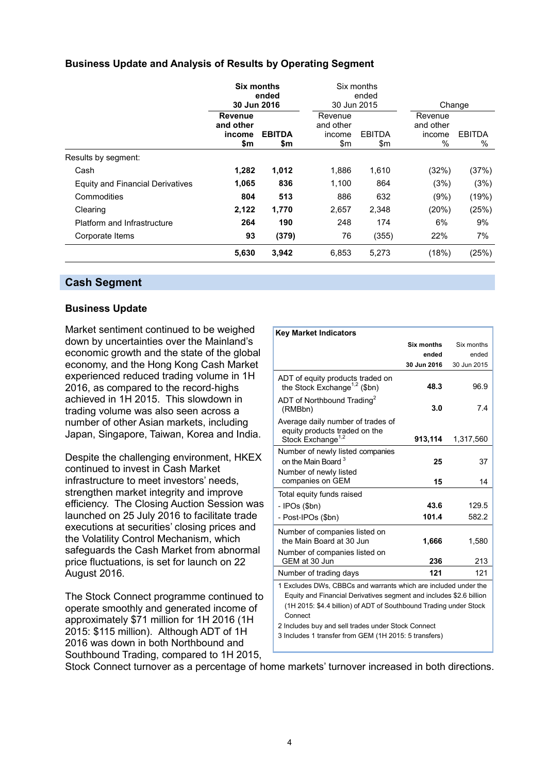# **Business Update and Analysis of Results by Operating Segment**

|                                  | Six months<br>ended<br>30 Jun 2016    |                      | 30 Jun 2015                           | Six months<br>ended  | Change                                 |                       |
|----------------------------------|---------------------------------------|----------------------|---------------------------------------|----------------------|----------------------------------------|-----------------------|
|                                  | Revenue<br>and other<br>income<br>\$m | <b>EBITDA</b><br>\$m | Revenue<br>and other<br>income<br>\$m | <b>EBITDA</b><br>\$m | Revenue<br>and other<br>income<br>$\%$ | <b>EBITDA</b><br>$\%$ |
| Results by segment:              |                                       |                      |                                       |                      |                                        |                       |
| Cash                             | 1,282                                 | 1,012                | 1,886                                 | 1,610                | (32%)                                  | (37%)                 |
| Equity and Financial Derivatives | 1,065                                 | 836                  | 1,100                                 | 864                  | (3%)                                   | (3%)                  |
| Commodities                      | 804                                   | 513                  | 886                                   | 632                  | (9%)                                   | (19%)                 |
| Clearing                         | 2,122                                 | 1,770                | 2,657                                 | 2,348                | (20%)                                  | (25%)                 |
| Platform and Infrastructure      | 264                                   | 190                  | 248                                   | 174                  | 6%                                     | 9%                    |
| Corporate Items                  | 93                                    | (379)                | 76                                    | (355)                | 22%                                    | 7%                    |
|                                  | 5,630                                 | 3,942                | 6,853                                 | 5,273                | (18%)                                  | (25%)                 |

### **Cash Segment**

### **Business Update**

Market sentiment continued to be weighed down by uncertainties over the Mainland's economic growth and the state of the global economy, and the Hong Kong Cash Market experienced reduced trading volume in 1H 2016, as compared to the record-highs achieved in 1H 2015. This slowdown in trading volume was also seen across a number of other Asian markets, including Japan, Singapore, Taiwan, Korea and India.

Despite the challenging environment, HKEX continued to invest in Cash Market infrastructure to meet investors' needs, strengthen market integrity and improve efficiency. The Closing Auction Session was launched on 25 July 2016 to facilitate trade executions at securities' closing prices and the Volatility Control Mechanism, which safeguards the Cash Market from abnormal price fluctuations, is set for launch on 22 August 2016.

The Stock Connect programme continued to operate smoothly and generated income of approximately \$71 million for 1H 2016 (1H 2015: \$115 million). Although ADT of 1H 2016 was down in both Northbound and Southbound Trading, compared to 1H 2015,

| <b>Key Market Indicators</b>                                                                                                                        |                   |             |  |
|-----------------------------------------------------------------------------------------------------------------------------------------------------|-------------------|-------------|--|
|                                                                                                                                                     | <b>Six months</b> | Six months  |  |
|                                                                                                                                                     | ended             | ended       |  |
|                                                                                                                                                     | 30 Jun 2016       | 30 Jun 2015 |  |
| ADT of equity products traded on<br>the Stock Exchange <sup>1,2</sup> (\$bn)                                                                        | 48.3              | 96.9        |  |
| ADT of Northbound Trading <sup>2</sup><br>(RMBbn)                                                                                                   | 3.0               | 7.4         |  |
| Average daily number of trades of<br>equity products traded on the<br>Stock Exchange <sup>1,2</sup>                                                 | 913,114           | 1,317,560   |  |
| Number of newly listed companies<br>on the Main Board <sup>3</sup><br>Number of newly listed                                                        | 25                | 37          |  |
| companies on GEM                                                                                                                                    | 15                | 14          |  |
| Total equity funds raised                                                                                                                           |                   |             |  |
| - IPOs (\$bn)                                                                                                                                       | 43.6              | 129.5       |  |
| - Post-IPOs (\$bn)                                                                                                                                  | 101.4             | 582.2       |  |
| Number of companies listed on<br>the Main Board at 30 Jun                                                                                           | 1,666             | 1,580       |  |
| Number of companies listed on<br>GEM at 30 Jun                                                                                                      | 236               | 213         |  |
| Number of trading days                                                                                                                              | 121               | 121         |  |
| 1 Excludes DWs, CBBCs and warrants which are included under the                                                                                     |                   |             |  |
| Equity and Financial Derivatives segment and includes \$2.6 billion<br>(1H 2015: \$4.4 billion) of ADT of Southbound Trading under Stock<br>Connect |                   |             |  |

2 Includes buy and sell trades under Stock Connect

3 Includes 1 transfer from GEM (1H 2015: 5 transfers)

Stock Connect turnover as a percentage of home markets' turnover increased in both directions.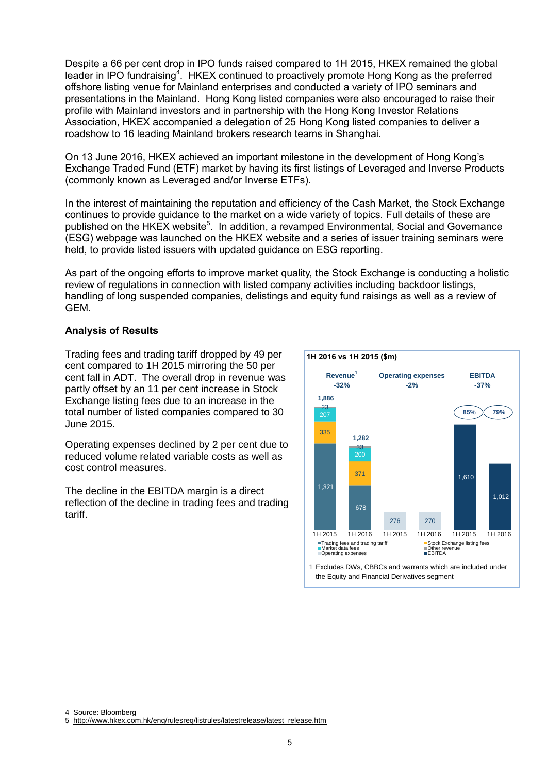Despite a 66 per cent drop in IPO funds raised compared to 1H 2015, HKEX remained the global leader in IPO fundraising<sup>4</sup>. HKEX continued to proactively promote Hong Kong as the preferred offshore listing venue for Mainland enterprises and conducted a variety of IPO seminars and presentations in the Mainland. Hong Kong listed companies were also encouraged to raise their profile with Mainland investors and in partnership with the Hong Kong Investor Relations Association, HKEX accompanied a delegation of 25 Hong Kong listed companies to deliver a roadshow to 16 leading Mainland brokers research teams in Shanghai.

On 13 June 2016, HKEX achieved an important milestone in the development of Hong Kong's Exchange Traded Fund (ETF) market by having its first listings of Leveraged and Inverse Products (commonly known as Leveraged and/or Inverse ETFs).

In the interest of maintaining the reputation and efficiency of the Cash Market, the Stock Exchange continues to provide guidance to the market on a wide variety of topics. Full details of these are published on the HKEX website<sup>5</sup>. In addition, a revamped Environmental, Social and Governance (ESG) webpage was launched on the HKEX website and a series of issuer training seminars were held, to provide listed issuers with updated guidance on ESG reporting.

As part of the ongoing efforts to improve market quality, the Stock Exchange is conducting a holistic review of regulations in connection with listed company activities including backdoor listings, handling of long suspended companies, delistings and equity fund raisings as well as a review of GEM.

### **Analysis of Results**

Trading fees and trading tariff dropped by 49 per cent compared to 1H 2015 mirroring the 50 per cent fall in ADT. The overall drop in revenue was partly offset by an 11 per cent increase in Stock Exchange listing fees due to an increase in the total number of listed companies compared to 30 June 2015.

Operating expenses declined by 2 per cent due to reduced volume related variable costs as well as cost control measures.

The decline in the EBITDA margin is a direct reflection of the decline in trading fees and trading tariff.



 $\overline{a}$ 

<sup>4</sup> Source: Bloomberg

<sup>5</sup> [http://www.hkex.com.hk/eng/rulesreg/listrules/latestrelease/latest\\_release.htm](http://www.hkex.com.hk/eng/rulesreg/listrules/latestrelease/latest_release.htm)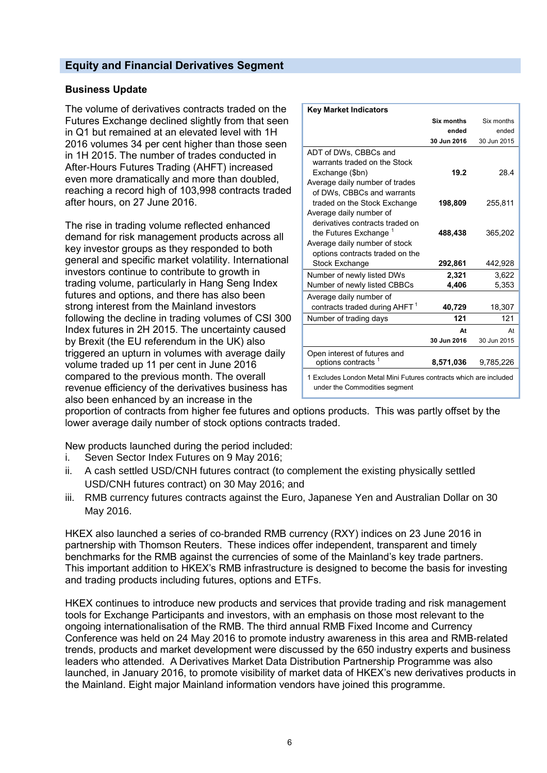# **Equity and Financial Derivatives Segment**

### **Business Update**

The volume of derivatives contracts traded on the Futures Exchange declined slightly from that seen in Q1 but remained at an elevated level with 1H 2016 volumes 34 per cent higher than those seen in 1H 2015. The number of trades conducted in After-Hours Futures Trading (AHFT) increased even more dramatically and more than doubled, reaching a record high of 103,998 contracts traded after hours, on 27 June 2016.

The rise in trading volume reflected enhanced demand for risk management products across all key investor groups as they responded to both general and specific market volatility. International investors continue to contribute to growth in trading volume, particularly in Hang Seng Index futures and options, and there has also been strong interest from the Mainland investors following the decline in trading volumes of CSI 300 Index futures in 2H 2015. The uncertainty caused by Brexit (the EU referendum in the UK) also triggered an upturn in volumes with average daily volume traded up 11 per cent in June 2016 compared to the previous month. The overall revenue efficiency of the derivatives business has also been enhanced by an increase in the

| <b>Key Market Indicators</b>                                                                                                             |                   |             |  |
|------------------------------------------------------------------------------------------------------------------------------------------|-------------------|-------------|--|
|                                                                                                                                          | <b>Six months</b> | Six months  |  |
|                                                                                                                                          | ended             | ended       |  |
|                                                                                                                                          | 30 Jun 2016       | 30 Jun 2015 |  |
| ADT of DWs, CBBCs and<br>warrants traded on the Stock<br>Exchange (\$bn)<br>Average daily number of trades<br>of DWs, CBBCs and warrants | 19.2              | 28.4        |  |
| traded on the Stock Exchange<br>Average daily number of<br>derivatives contracts traded on                                               | 198,809           | 255,811     |  |
| the Futures Exchange <sup>1</sup><br>Average daily number of stock<br>options contracts traded on the                                    | 488,438           | 365,202     |  |
| <b>Stock Exchange</b>                                                                                                                    | 292,861           | 442,928     |  |
| Number of newly listed DWs                                                                                                               | 2.321             | 3.622       |  |
| Number of newly listed CBBCs                                                                                                             | 4,406             | 5,353       |  |
| Average daily number of                                                                                                                  |                   |             |  |
| contracts traded during AHFT <sup>1</sup>                                                                                                | 40,729            | 18,307      |  |
| Number of trading days                                                                                                                   | 121               | 121         |  |
|                                                                                                                                          | At                | At          |  |
|                                                                                                                                          | 30 Jun 2016       | 30 Jun 2015 |  |
| Open interest of futures and<br>options contracts <sup>1</sup>                                                                           | 8,571,036         | 9,785,226   |  |
| 1 Excludes London Metal Mini Futures contracts which are included<br>under the Commodities seament                                       |                   |             |  |

under the Commodities segment

proportion of contracts from higher fee futures and options products. This was partly offset by the lower average daily number of stock options contracts traded.

New products launched during the period included:

- i. Seven Sector Index Futures on 9 May 2016;
- ii. A cash settled USD/CNH futures contract (to complement the existing physically settled USD/CNH futures contract) on 30 May 2016; and
- iii. RMB currency futures contracts against the Euro, Japanese Yen and Australian Dollar on 30 May 2016.

HKEX also launched a series of co-branded RMB currency (RXY) indices on 23 June 2016 in partnership with Thomson Reuters. These indices offer independent, transparent and timely benchmarks for the RMB against the currencies of some of the Mainland's key trade partners. This important addition to HKEX's RMB infrastructure is designed to become the basis for investing and trading products including futures, options and ETFs.

HKEX continues to introduce new products and services that provide trading and risk management tools for Exchange Participants and investors, with an emphasis on those most relevant to the ongoing internationalisation of the RMB. The third annual RMB Fixed Income and Currency Conference was held on 24 May 2016 to promote industry awareness in this area and RMB-related trends, products and market development were discussed by the 650 industry experts and business leaders who attended. A Derivatives Market Data Distribution Partnership Programme was also launched, in January 2016, to promote visibility of market data of HKEX's new derivatives products in the Mainland. Eight major Mainland information vendors have joined this programme.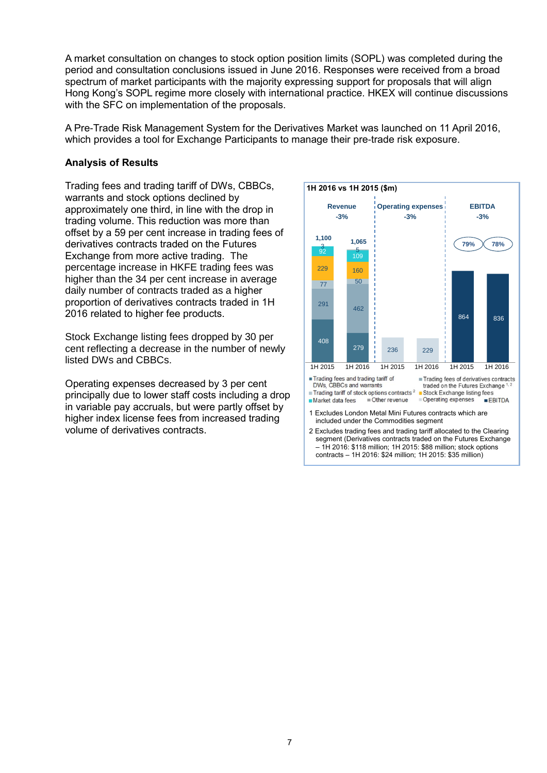A market consultation on changes to stock option position limits (SOPL) was completed during the period and consultation conclusions issued in June 2016. Responses were received from a broad spectrum of market participants with the majority expressing support for proposals that will align Hong Kong's SOPL regime more closely with international practice. HKEX will continue discussions with the SFC on implementation of the proposals.

A Pre-Trade Risk Management System for the Derivatives Market was launched on 11 April 2016, which provides a tool for Exchange Participants to manage their pre-trade risk exposure.

### **Analysis of Results**

Trading fees and trading tariff of DWs, CBBCs, warrants and stock options declined by approximately one third, in line with the drop in trading volume. This reduction was more than offset by a 59 per cent increase in trading fees of derivatives contracts traded on the Futures Exchange from more active trading. The percentage increase in HKFE trading fees was higher than the 34 per cent increase in average daily number of contracts traded as a higher proportion of derivatives contracts traded in 1H 2016 related to higher fee products.

Stock Exchange listing fees dropped by 30 per cent reflecting a decrease in the number of newly listed DWs and CBBCs.

Operating expenses decreased by 3 per cent principally due to lower staff costs including a drop in variable pay accruals, but were partly offset by higher index license fees from increased trading volume of derivatives contracts.

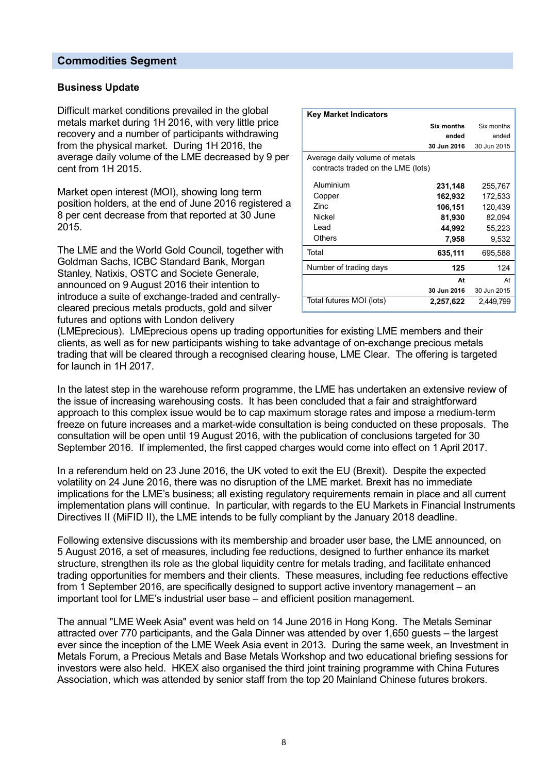#### **Commodities Segment**

#### **Business Update**

Difficult market conditions prevailed in the global metals market during 1H 2016, with very little price recovery and a number of participants withdrawing from the physical market. During 1H 2016, the average daily volume of the LME decreased by 9 per cent from 1H 2015.

Market open interest (MOI), showing long term position holders, at the end of June 2016 registered a 8 per cent decrease from that reported at 30 June 2015.

The LME and the World Gold Council, together with Goldman Sachs, ICBC Standard Bank, Morgan Stanley, Natixis, OSTC and Societe Generale, announced on 9 August 2016 their intention to introduce a suite of exchange-traded and centrallycleared precious metals products, gold and silver futures and options with London delivery

| <b>Key Market Indicators</b>       |             |             |
|------------------------------------|-------------|-------------|
|                                    | Six months  | Six months  |
|                                    | ended       | ended       |
|                                    | 30 Jun 2016 | 30 Jun 2015 |
| Average daily volume of metals     |             |             |
| contracts traded on the LME (lots) |             |             |
| Aluminium                          | 231,148     | 255,767     |
| Copper                             | 162,932     | 172,533     |
| Zinc.                              | 106,151     | 120,439     |
| Nickel                             | 81,930      | 82,094      |
| Lead                               | 44,992      | 55,223      |
| Others                             | 7,958       | 9,532       |
| Total                              | 635,111     | 695,588     |
| Number of trading days             | 125         | 124         |
|                                    | At          | At          |
|                                    | 30 Jun 2016 | 30 Jun 2015 |
| Total futures MOI (lots)           | 2,257,622   | 2,449,799   |

(LMEprecious). LMEprecious opens up trading opportunities for existing LME members and their clients, as well as for new participants wishing to take advantage of on-exchange precious metals trading that will be cleared through a recognised clearing house, LME Clear. The offering is targeted for launch in 1H 2017.

In the latest step in the warehouse reform programme, the LME has undertaken an extensive review of the issue of increasing warehousing costs. It has been concluded that a fair and straightforward approach to this complex issue would be to cap maximum storage rates and impose a medium-term freeze on future increases and a market-wide consultation is being conducted on these proposals. The consultation will be open until 19 August 2016, with the publication of conclusions targeted for 30 September 2016. If implemented, the first capped charges would come into effect on 1 April 2017.

In a referendum held on 23 June 2016, the UK voted to exit the EU (Brexit). Despite the expected volatility on 24 June 2016, there was no disruption of the LME market. Brexit has no immediate implications for the LME's business; all existing regulatory requirements remain in place and all current implementation plans will continue. In particular, with regards to the EU Markets in Financial Instruments Directives II (MiFID II), the LME intends to be fully compliant by the January 2018 deadline.

Following extensive discussions with its membership and broader user base, the LME announced, on 5 August 2016, a set of measures, including fee reductions, designed to further enhance its market structure, strengthen its role as the global liquidity centre for metals trading, and facilitate enhanced trading opportunities for members and their clients. These measures, including fee reductions effective from 1 September 2016, are specifically designed to support active inventory management – an important tool for LME's industrial user base – and efficient position management.

The annual "LME Week Asia" event was held on 14 June 2016 in Hong Kong. The Metals Seminar attracted over 770 participants, and the Gala Dinner was attended by over 1,650 guests – the largest ever since the inception of the LME Week Asia event in 2013. During the same week, an Investment in Metals Forum, a Precious Metals and Base Metals Workshop and two educational briefing sessions for investors were also held. HKEX also organised the third joint training programme with China Futures Association, which was attended by senior staff from the top 20 Mainland Chinese futures brokers.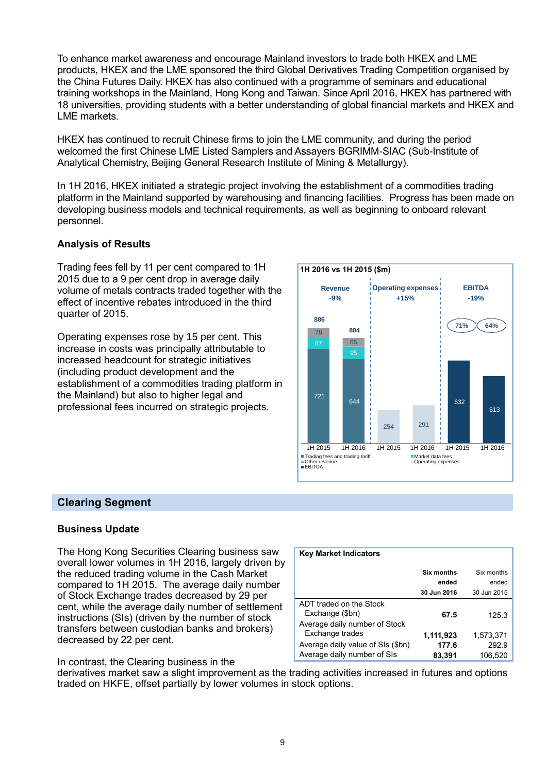To enhance market awareness and encourage Mainland investors to trade both HKEX and LME products, HKEX and the LME sponsored the third Global Derivatives Trading Competition organised by the China Futures Daily. HKEX has also continued with a programme of seminars and educational training workshops in the Mainland, Hong Kong and Taiwan. Since April 2016, HKEX has partnered with 18 universities, providing students with a better understanding of global financial markets and HKEX and LME markets.

HKEX has continued to recruit Chinese firms to join the LME community, and during the period welcomed the first Chinese LME Listed Samplers and Assayers BGRIMM-SIAC (Sub-Institute of Analytical Chemistry, Beijing General Research Institute of Mining & Metallurgy).

In 1H 2016, HKEX initiated a strategic project involving the establishment of a commodities trading platform in the Mainland supported by warehousing and financing facilities. Progress has been made on developing business models and technical requirements, as well as beginning to onboard relevant personnel.

# **Analysis of Results**

Trading fees fell by 11 per cent compared to 1H 2015 due to a 9 per cent drop in average daily volume of metals contracts traded together with the effect of incentive rebates introduced in the third quarter of 2015.

Operating expenses rose by 15 per cent. This increase in costs was principally attributable to increased headcount for strategic initiatives (including product development and the establishment of a commodities trading platform in the Mainland) but also to higher legal and professional fees incurred on strategic projects.



# **Clearing Segment**

#### **Business Update**

The Hong Kong Securities Clearing business saw overall lower volumes in 1H 2016, largely driven by the reduced trading volume in the Cash Market compared to 1H 2015. The average daily number of Stock Exchange trades decreased by 29 per cent, while the average daily number of settlement instructions (SIs) (driven by the number of stock transfers between custodian banks and brokers) decreased by 22 per cent.

#### In contrast, the Clearing business in the

| <b>Key Market Indicators</b>                                     |                   |                  |
|------------------------------------------------------------------|-------------------|------------------|
|                                                                  | <b>Six months</b> | Six months       |
|                                                                  | ended             | ended            |
|                                                                  | 30 Jun 2016       | 30 Jun 2015      |
| ADT traded on the Stock<br>Exchange (\$bn)                       | 67.5              | 125.3            |
| Average daily number of Stock<br>Exchange trades                 | 1,111,923         | 1,573,371        |
| Average daily value of SIs (\$bn)<br>Average daily number of SIs | 177.6<br>83,391   | 292.9<br>106,520 |

derivatives market saw a slight improvement as the trading activities increased in futures and options traded on HKFE, offset partially by lower volumes in stock options.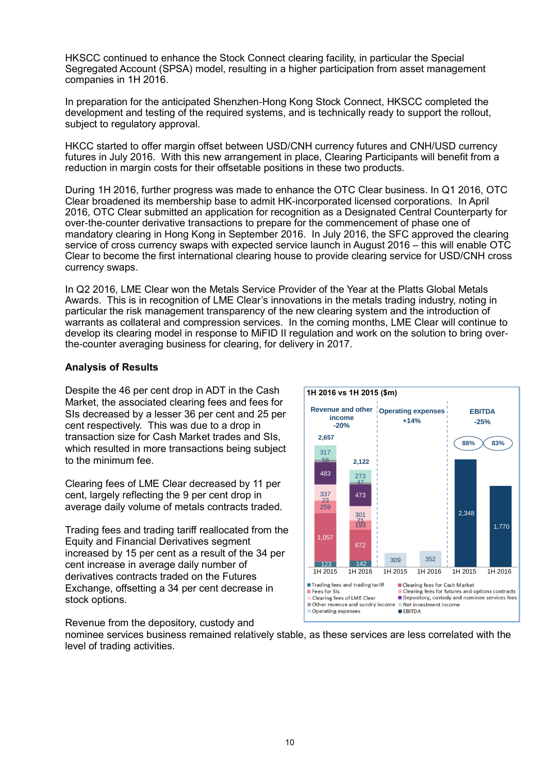HKSCC continued to enhance the Stock Connect clearing facility, in particular the Special Segregated Account (SPSA) model, resulting in a higher participation from asset management companies in 1H 2016.

In preparation for the anticipated Shenzhen-Hong Kong Stock Connect, HKSCC completed the development and testing of the required systems, and is technically ready to support the rollout, subject to regulatory approval.

HKCC started to offer margin offset between USD/CNH currency futures and CNH/USD currency futures in July 2016. With this new arrangement in place, Clearing Participants will benefit from a reduction in margin costs for their offsetable positions in these two products.

During 1H 2016, further progress was made to enhance the OTC Clear business. In Q1 2016, OTC Clear broadened its membership base to admit HK-incorporated licensed corporations. In April 2016, OTC Clear submitted an application for recognition as a Designated Central Counterparty for over-the-counter derivative transactions to prepare for the commencement of phase one of mandatory clearing in Hong Kong in September 2016. In July 2016, the SFC approved the clearing service of cross currency swaps with expected service launch in August 2016 – this will enable OTC Clear to become the first international clearing house to provide clearing service for USD/CNH cross currency swaps.

In Q2 2016, LME Clear won the Metals Service Provider of the Year at the Platts Global Metals Awards. This is in recognition of LME Clear's innovations in the metals trading industry, noting in particular the risk management transparency of the new clearing system and the introduction of warrants as collateral and compression services. In the coming months, LME Clear will continue to develop its clearing model in response to MiFID II regulation and work on the solution to bring overthe-counter averaging business for clearing, for delivery in 2017.

### **Analysis of Results**

Despite the 46 per cent drop in ADT in the Cash Market, the associated clearing fees and fees for SIs decreased by a lesser 36 per cent and 25 per cent respectively. This was due to a drop in transaction size for Cash Market trades and SIs, which resulted in more transactions being subject to the minimum fee.

Clearing fees of LME Clear decreased by 11 per cent, largely reflecting the 9 per cent drop in average daily volume of metals contracts traded.

Trading fees and trading tariff reallocated from the Equity and Financial Derivatives segment increased by 15 per cent as a result of the 34 per cent increase in average daily number of derivatives contracts traded on the Futures Exchange, offsetting a 34 per cent decrease in stock options.



Revenue from the depository, custody and nominee services business remained relatively stable, as these services are less correlated with the level of trading activities.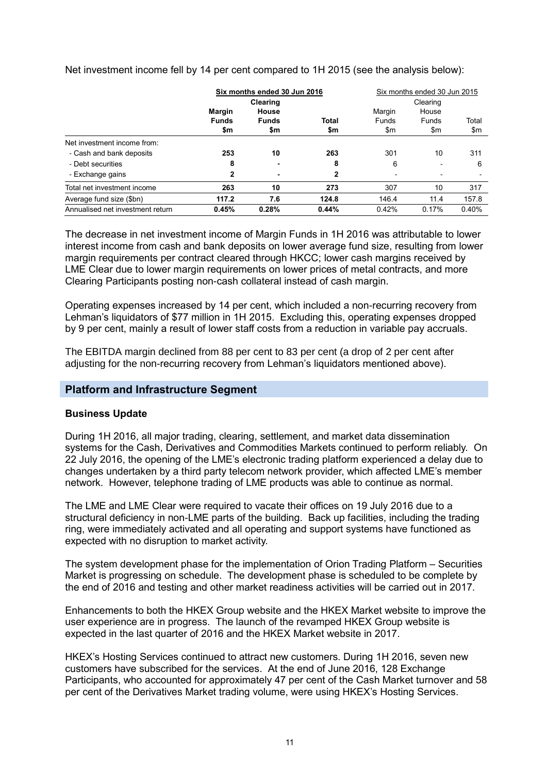|                                  | Six months ended 30 Jun 2016<br>Clearing |                              | Six months ended 30 Jun 2015<br>Clearing |                               |                       |              |
|----------------------------------|------------------------------------------|------------------------------|------------------------------------------|-------------------------------|-----------------------|--------------|
|                                  | <b>Margin</b><br><b>Funds</b><br>\$m     | House<br><b>Funds</b><br>\$m | <b>Total</b><br>\$m                      | Margin<br><b>Funds</b><br>\$m | House<br>Funds<br>\$m | Total<br>\$m |
| Net investment income from:      |                                          |                              |                                          |                               |                       |              |
| - Cash and bank deposits         | 253                                      | 10                           | 263                                      | 301                           | 10                    | 311          |
| - Debt securities                | 8                                        |                              | 8                                        | 6                             |                       | 6            |
| - Exchange gains                 | 2                                        |                              | 2                                        | ٠                             |                       |              |
| Total net investment income      | 263                                      | 10                           | 273                                      | 307                           | 10                    | 317          |
| Average fund size (\$bn)         | 117.2                                    | 7.6                          | 124.8                                    | 146.4                         | 11.4                  | 157.8        |
| Annualised net investment return | 0.45%                                    | 0.28%                        | 0.44%                                    | 0.42%                         | 0.17%                 | 0.40%        |

Net investment income fell by 14 per cent compared to 1H 2015 (see the analysis below):

The decrease in net investment income of Margin Funds in 1H 2016 was attributable to lower interest income from cash and bank deposits on lower average fund size, resulting from lower margin requirements per contract cleared through HKCC; lower cash margins received by LME Clear due to lower margin requirements on lower prices of metal contracts, and more Clearing Participants posting non-cash collateral instead of cash margin.

Operating expenses increased by 14 per cent, which included a non-recurring recovery from Lehman's liquidators of \$77 million in 1H 2015. Excluding this, operating expenses dropped by 9 per cent, mainly a result of lower staff costs from a reduction in variable pay accruals.

The EBITDA margin declined from 88 per cent to 83 per cent (a drop of 2 per cent after adjusting for the non-recurring recovery from Lehman's liquidators mentioned above).

#### **Platform and Infrastructure Segment**

#### **Business Update**

During 1H 2016, all major trading, clearing, settlement, and market data dissemination systems for the Cash, Derivatives and Commodities Markets continued to perform reliably. On 22 July 2016, the opening of the LME's electronic trading platform experienced a delay due to changes undertaken by a third party telecom network provider, which affected LME's member network. However, telephone trading of LME products was able to continue as normal.

The LME and LME Clear were required to vacate their offices on 19 July 2016 due to a structural deficiency in non-LME parts of the building. Back up facilities, including the trading ring, were immediately activated and all operating and support systems have functioned as expected with no disruption to market activity.

The system development phase for the implementation of Orion Trading Platform – Securities Market is progressing on schedule. The development phase is scheduled to be complete by the end of 2016 and testing and other market readiness activities will be carried out in 2017.

Enhancements to both the HKEX Group website and the HKEX Market website to improve the user experience are in progress. The launch of the revamped HKEX Group website is expected in the last quarter of 2016 and the HKEX Market website in 2017.

HKEX's Hosting Services continued to attract new customers. During 1H 2016, seven new customers have subscribed for the services. At the end of June 2016, 128 Exchange Participants, who accounted for approximately 47 per cent of the Cash Market turnover and 58 per cent of the Derivatives Market trading volume, were using HKEX's Hosting Services.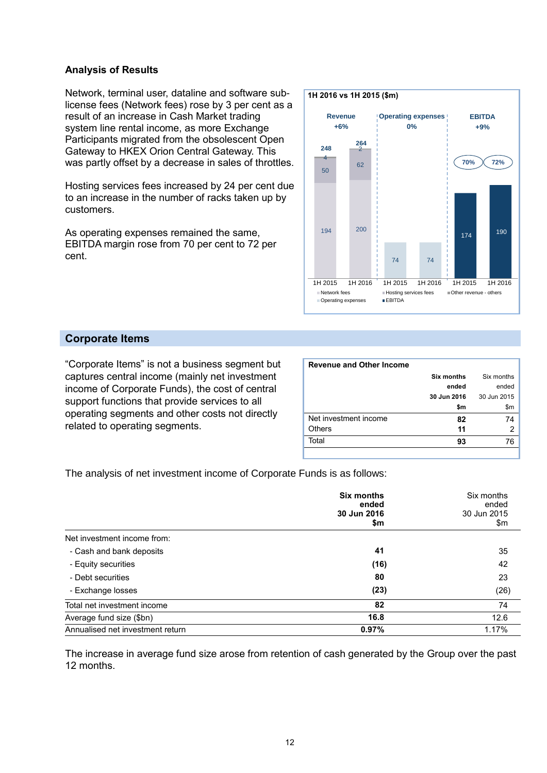#### **Analysis of Results**

Network, terminal user, dataline and software sublicense fees (Network fees) rose by 3 per cent as a result of an increase in Cash Market trading system line rental income, as more Exchange Participants migrated from the obsolescent Open Gateway to HKEX Orion Central Gateway. This was partly offset by a decrease in sales of throttles.

Hosting services fees increased by 24 per cent due to an increase in the number of racks taken up by customers.

As operating expenses remained the same, EBITDA margin rose from 70 per cent to 72 per cent.



# **Corporate Items**

"Corporate Items" is not a business segment but captures central income (mainly net investment income of Corporate Funds), the cost of central support functions that provide services to all operating segments and other costs not directly related to operating segments.

| <b>Revenue and Other Income</b> |                   |             |
|---------------------------------|-------------------|-------------|
|                                 | <b>Six months</b> | Six months  |
|                                 | ended             | ended       |
|                                 | 30 Jun 2016       | 30 Jun 2015 |
|                                 | \$m               | \$m         |
| Net investment income           | 82                | 74          |
| <b>Others</b>                   | 11                | 2           |
| Total                           | 93                | 76          |
|                                 |                   |             |

The analysis of net investment income of Corporate Funds is as follows:

|                                  | Six months<br>ended<br>30 Jun 2016<br>\$m | Six months<br>ended<br>30 Jun 2015<br>\$m |
|----------------------------------|-------------------------------------------|-------------------------------------------|
| Net investment income from:      |                                           |                                           |
| - Cash and bank deposits         | 41                                        | 35                                        |
| - Equity securities              | (16)                                      | 42                                        |
| - Debt securities                | 80                                        | 23                                        |
| - Exchange losses                | (23)                                      | (26)                                      |
| Total net investment income      | 82                                        | 74                                        |
| Average fund size (\$bn)         | 16.8                                      | 12.6                                      |
| Annualised net investment return | 0.97%                                     | 1.17%                                     |

The increase in average fund size arose from retention of cash generated by the Group over the past 12 months.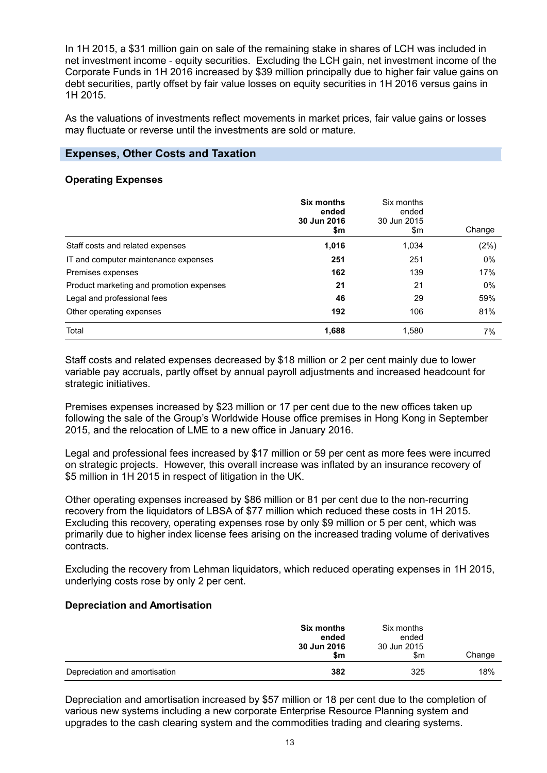In 1H 2015, a \$31 million gain on sale of the remaining stake in shares of LCH was included in net investment income - equity securities. Excluding the LCH gain, net investment income of the Corporate Funds in 1H 2016 increased by \$39 million principally due to higher fair value gains on debt securities, partly offset by fair value losses on equity securities in 1H 2016 versus gains in 1H 2015.

As the valuations of investments reflect movements in market prices, fair value gains or losses may fluctuate or reverse until the investments are sold or mature.

# **Expenses, Other Costs and Taxation**

#### **Operating Expenses**

|                                          | Six months<br>ended<br>30 Jun 2016<br>\$m | Six months<br>ended<br>30 Jun 2015<br>\$m | Change |
|------------------------------------------|-------------------------------------------|-------------------------------------------|--------|
| Staff costs and related expenses         | 1,016                                     | 1,034                                     | (2%)   |
| IT and computer maintenance expenses     | 251                                       | 251                                       | $0\%$  |
| Premises expenses                        | 162                                       | 139                                       | 17%    |
| Product marketing and promotion expenses | 21                                        | 21                                        | $0\%$  |
| Legal and professional fees              | 46                                        | 29                                        | 59%    |
| Other operating expenses                 | 192                                       | 106                                       | 81%    |
| Total                                    | 1,688                                     | 1,580                                     | 7%     |

Staff costs and related expenses decreased by \$18 million or 2 per cent mainly due to lower variable pay accruals, partly offset by annual payroll adjustments and increased headcount for strategic initiatives.

Premises expenses increased by \$23 million or 17 per cent due to the new offices taken up following the sale of the Group's Worldwide House office premises in Hong Kong in September 2015, and the relocation of LME to a new office in January 2016.

Legal and professional fees increased by \$17 million or 59 per cent as more fees were incurred on strategic projects. However, this overall increase was inflated by an insurance recovery of \$5 million in 1H 2015 in respect of litigation in the UK.

Other operating expenses increased by \$86 million or 81 per cent due to the non-recurring recovery from the liquidators of LBSA of \$77 million which reduced these costs in 1H 2015. Excluding this recovery, operating expenses rose by only \$9 million or 5 per cent, which was primarily due to higher index license fees arising on the increased trading volume of derivatives contracts.

Excluding the recovery from Lehman liquidators, which reduced operating expenses in 1H 2015, underlying costs rose by only 2 per cent.

#### **Depreciation and Amortisation**

|                               | <b>Six months</b><br>ended<br>30 Jun 2016<br>\$m | Six months<br>ended<br>30 Jun 2015<br>\$m | Change |
|-------------------------------|--------------------------------------------------|-------------------------------------------|--------|
| Depreciation and amortisation | 382                                              | 325                                       | 18%    |

Depreciation and amortisation increased by \$57 million or 18 per cent due to the completion of various new systems including a new corporate Enterprise Resource Planning system and upgrades to the cash clearing system and the commodities trading and clearing systems.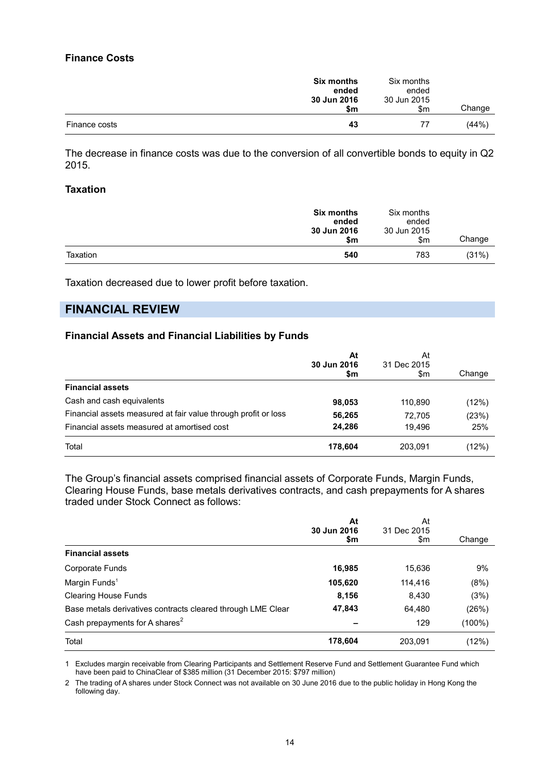#### **Finance Costs**

|               | <b>Six months</b><br>ended | Six months<br>ended |        |
|---------------|----------------------------|---------------------|--------|
|               | 30 Jun 2016<br>\$m         | 30 Jun 2015<br>\$m  | Change |
| Finance costs | 43                         | 77                  | (44%)  |

The decrease in finance costs was due to the conversion of all convertible bonds to equity in Q2 2015.

#### **Taxation**

|          | <b>Six months</b><br>ended<br>30 Jun 2016<br>\$m | Six months<br>ended<br>30 Jun 2015<br>\$m | Change |
|----------|--------------------------------------------------|-------------------------------------------|--------|
| Taxation | 540                                              | 783                                       | (31%)  |

Taxation decreased due to lower profit before taxation.

# **FINANCIAL REVIEW**

#### **Financial Assets and Financial Liabilities by Funds**

|                                                                | At<br>30 Jun 2016<br>\$m | At<br>31 Dec 2015<br>\$m | Change |
|----------------------------------------------------------------|--------------------------|--------------------------|--------|
| <b>Financial assets</b>                                        |                          |                          |        |
| Cash and cash equivalents                                      | 98,053                   | 110.890                  | (12%)  |
| Financial assets measured at fair value through profit or loss | 56,265                   | 72.705                   | (23%)  |
| Financial assets measured at amortised cost                    | 24.286                   | 19.496                   | 25%    |
| Total                                                          | 178,604                  | 203,091                  | (12%)  |

The Group's financial assets comprised financial assets of Corporate Funds, Margin Funds, Clearing House Funds, base metals derivatives contracts, and cash prepayments for A shares traded under Stock Connect as follows:

|                                                             | At<br>30 Jun 2016 | At<br>31 Dec 2015 |           |  |
|-------------------------------------------------------------|-------------------|-------------------|-----------|--|
|                                                             | \$m               | \$m               | Change    |  |
| <b>Financial assets</b>                                     |                   |                   |           |  |
| Corporate Funds                                             | 16,985            | 15,636            | 9%        |  |
| Margin Funds <sup>1</sup>                                   | 105,620           | 114.416           | (8%)      |  |
| <b>Clearing House Funds</b>                                 | 8,156             | 8,430             | (3%)      |  |
| Base metals derivatives contracts cleared through LME Clear | 47,843            | 64,480            | (26%)     |  |
| Cash prepayments for A shares <sup>2</sup>                  |                   | 129               | $(100\%)$ |  |
| Total                                                       | 178,604           | 203,091           | (12%)     |  |

1 Excludes margin receivable from Clearing Participants and Settlement Reserve Fund and Settlement Guarantee Fund which have been paid to ChinaClear of \$385 million (31 December 2015: \$797 million)

2 The trading of A shares under Stock Connect was not available on 30 June 2016 due to the public holiday in Hong Kong the following day.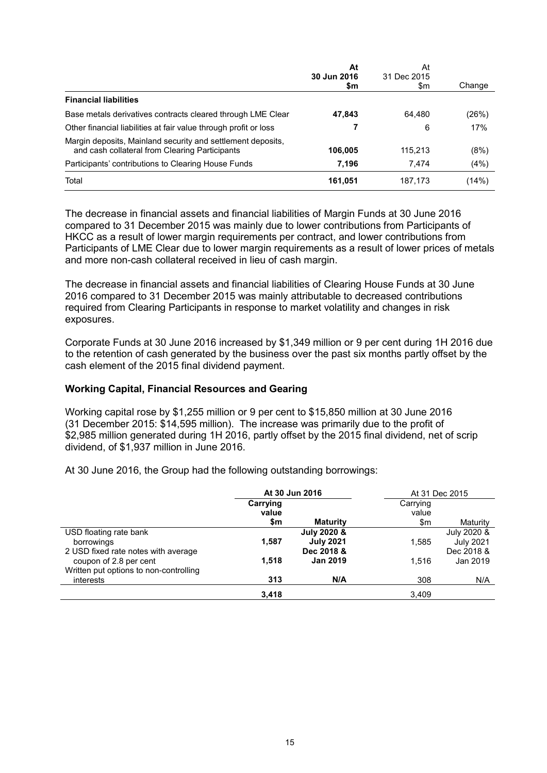|                                                                                                               | At<br>30 Jun 2016 | At<br>31 Dec 2015 |        |
|---------------------------------------------------------------------------------------------------------------|-------------------|-------------------|--------|
|                                                                                                               | \$m               | \$m               | Change |
| <b>Financial liabilities</b>                                                                                  |                   |                   |        |
| Base metals derivatives contracts cleared through LME Clear                                                   | 47,843            | 64.480            | (26%)  |
| Other financial liabilities at fair value through profit or loss                                              |                   | 6                 | 17%    |
| Margin deposits, Mainland security and settlement deposits,<br>and cash collateral from Clearing Participants | 106,005           | 115.213           | (8%)   |
| Participants' contributions to Clearing House Funds                                                           | 7,196             | 7.474             | (4%)   |
| Total                                                                                                         | 161,051           | 187,173           | (14%)  |

The decrease in financial assets and financial liabilities of Margin Funds at 30 June 2016 compared to 31 December 2015 was mainly due to lower contributions from Participants of HKCC as a result of lower margin requirements per contract, and lower contributions from Participants of LME Clear due to lower margin requirements as a result of lower prices of metals and more non-cash collateral received in lieu of cash margin.

The decrease in financial assets and financial liabilities of Clearing House Funds at 30 June 2016 compared to 31 December 2015 was mainly attributable to decreased contributions required from Clearing Participants in response to market volatility and changes in risk exposures.

Corporate Funds at 30 June 2016 increased by \$1,349 million or 9 per cent during 1H 2016 due to the retention of cash generated by the business over the past six months partly offset by the cash element of the 2015 final dividend payment.

#### **Working Capital, Financial Resources and Gearing**

Working capital rose by \$1,255 million or 9 per cent to \$15,850 million at 30 June 2016 (31 December 2015: \$14,595 million). The increase was primarily due to the profit of \$2,985 million generated during 1H 2016, partly offset by the 2015 final dividend, net of scrip dividend, of \$1,937 million in June 2016.

At 30 June 2016, the Group had the following outstanding borrowings:

|                                        | At 30 Jun 2016    |                  |                   | At 31 Dec 2015   |
|----------------------------------------|-------------------|------------------|-------------------|------------------|
|                                        | Carrying<br>value |                  | Carrying<br>value |                  |
|                                        | \$m               | <b>Maturity</b>  | \$m               | Maturity         |
| USD floating rate bank                 |                   | July 2020 &      |                   | July 2020 &      |
| borrowings                             | 1,587             | <b>July 2021</b> | 1,585             | <b>July 2021</b> |
| 2 USD fixed rate notes with average    |                   | Dec 2018 &       |                   | Dec 2018 &       |
| coupon of 2.8 per cent                 | 1.518             | <b>Jan 2019</b>  | 1.516             | Jan 2019         |
| Written put options to non-controlling |                   |                  |                   |                  |
| interests                              | 313               | N/A              | 308               | N/A              |
|                                        | 3,418             |                  | 3,409             |                  |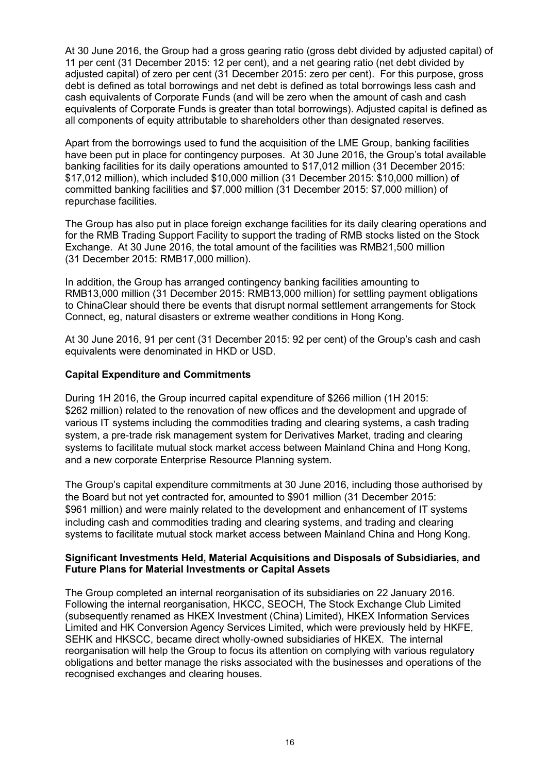At 30 June 2016, the Group had a gross gearing ratio (gross debt divided by adjusted capital) of 11 per cent (31 December 2015: 12 per cent), and a net gearing ratio (net debt divided by adjusted capital) of zero per cent (31 December 2015: zero per cent). For this purpose, gross debt is defined as total borrowings and net debt is defined as total borrowings less cash and cash equivalents of Corporate Funds (and will be zero when the amount of cash and cash equivalents of Corporate Funds is greater than total borrowings). Adjusted capital is defined as all components of equity attributable to shareholders other than designated reserves.

Apart from the borrowings used to fund the acquisition of the LME Group, banking facilities have been put in place for contingency purposes. At 30 June 2016, the Group's total available banking facilities for its daily operations amounted to \$17,012 million (31 December 2015: \$17,012 million), which included \$10,000 million (31 December 2015: \$10,000 million) of committed banking facilities and \$7,000 million (31 December 2015: \$7,000 million) of repurchase facilities.

The Group has also put in place foreign exchange facilities for its daily clearing operations and for the RMB Trading Support Facility to support the trading of RMB stocks listed on the Stock Exchange. At 30 June 2016, the total amount of the facilities was RMB21,500 million (31 December 2015: RMB17,000 million).

In addition, the Group has arranged contingency banking facilities amounting to RMB13,000 million (31 December 2015: RMB13,000 million) for settling payment obligations to ChinaClear should there be events that disrupt normal settlement arrangements for Stock Connect, eg, natural disasters or extreme weather conditions in Hong Kong.

At 30 June 2016, 91 per cent (31 December 2015: 92 per cent) of the Group's cash and cash equivalents were denominated in HKD or USD.

#### **Capital Expenditure and Commitments**

During 1H 2016, the Group incurred capital expenditure of \$266 million (1H 2015: \$262 million) related to the renovation of new offices and the development and upgrade of various IT systems including the commodities trading and clearing systems, a cash trading system, a pre-trade risk management system for Derivatives Market, trading and clearing systems to facilitate mutual stock market access between Mainland China and Hong Kong, and a new corporate Enterprise Resource Planning system.

The Group's capital expenditure commitments at 30 June 2016, including those authorised by the Board but not yet contracted for, amounted to \$901 million (31 December 2015: \$961 million) and were mainly related to the development and enhancement of IT systems including cash and commodities trading and clearing systems, and trading and clearing systems to facilitate mutual stock market access between Mainland China and Hong Kong.

#### **Significant Investments Held, Material Acquisitions and Disposals of Subsidiaries, and Future Plans for Material Investments or Capital Assets**

The Group completed an internal reorganisation of its subsidiaries on 22 January 2016. Following the internal reorganisation, HKCC, SEOCH, The Stock Exchange Club Limited (subsequently renamed as HKEX Investment (China) Limited), HKEX Information Services Limited and HK Conversion Agency Services Limited, which were previously held by HKFE, SEHK and HKSCC, became direct wholly-owned subsidiaries of HKEX. The internal reorganisation will help the Group to focus its attention on complying with various regulatory obligations and better manage the risks associated with the businesses and operations of the recognised exchanges and clearing houses.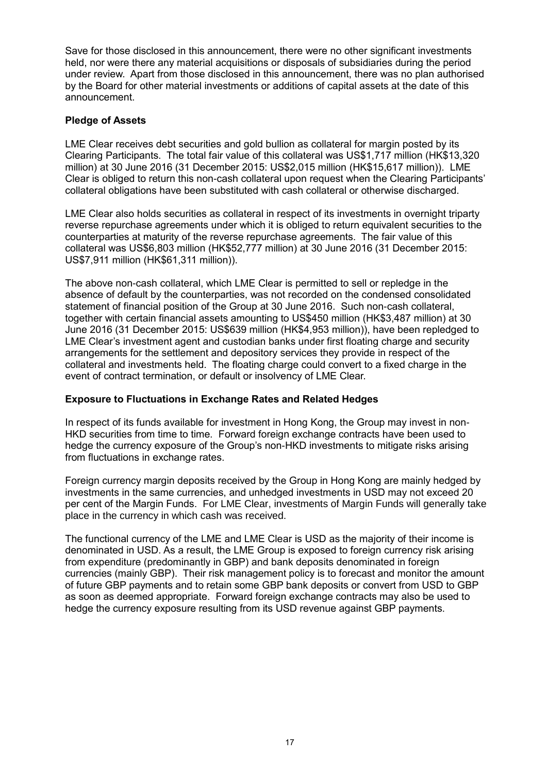Save for those disclosed in this announcement, there were no other significant investments held, nor were there any material acquisitions or disposals of subsidiaries during the period under review. Apart from those disclosed in this announcement, there was no plan authorised by the Board for other material investments or additions of capital assets at the date of this announcement.

#### **Pledge of Assets**

LME Clear receives debt securities and gold bullion as collateral for margin posted by its Clearing Participants. The total fair value of this collateral was US\$1,717 million (HK\$13,320 million) at 30 June 2016 (31 December 2015: US\$2,015 million (HK\$15,617 million)). LME Clear is obliged to return this non-cash collateral upon request when the Clearing Participants' collateral obligations have been substituted with cash collateral or otherwise discharged.

LME Clear also holds securities as collateral in respect of its investments in overnight triparty reverse repurchase agreements under which it is obliged to return equivalent securities to the counterparties at maturity of the reverse repurchase agreements. The fair value of this collateral was US\$6,803 million (HK\$52,777 million) at 30 June 2016 (31 December 2015: US\$7,911 million (HK\$61,311 million)).

The above non-cash collateral, which LME Clear is permitted to sell or repledge in the absence of default by the counterparties, was not recorded on the condensed consolidated statement of financial position of the Group at 30 June 2016. Such non-cash collateral, together with certain financial assets amounting to US\$450 million (HK\$3,487 million) at 30 June 2016 (31 December 2015: US\$639 million (HK\$4,953 million)), have been repledged to LME Clear's investment agent and custodian banks under first floating charge and security arrangements for the settlement and depository services they provide in respect of the collateral and investments held. The floating charge could convert to a fixed charge in the event of contract termination, or default or insolvency of LME Clear.

#### **Exposure to Fluctuations in Exchange Rates and Related Hedges**

In respect of its funds available for investment in Hong Kong, the Group may invest in non-HKD securities from time to time. Forward foreign exchange contracts have been used to hedge the currency exposure of the Group's non-HKD investments to mitigate risks arising from fluctuations in exchange rates.

Foreign currency margin deposits received by the Group in Hong Kong are mainly hedged by investments in the same currencies, and unhedged investments in USD may not exceed 20 per cent of the Margin Funds. For LME Clear, investments of Margin Funds will generally take place in the currency in which cash was received.

The functional currency of the LME and LME Clear is USD as the majority of their income is denominated in USD. As a result, the LME Group is exposed to foreign currency risk arising from expenditure (predominantly in GBP) and bank deposits denominated in foreign currencies (mainly GBP). Their risk management policy is to forecast and monitor the amount of future GBP payments and to retain some GBP bank deposits or convert from USD to GBP as soon as deemed appropriate. Forward foreign exchange contracts may also be used to hedge the currency exposure resulting from its USD revenue against GBP payments.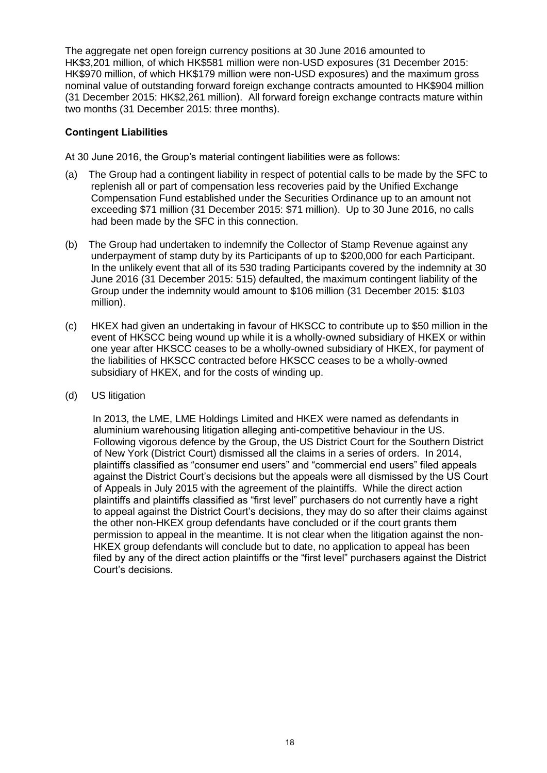The aggregate net open foreign currency positions at 30 June 2016 amounted to HK\$3,201 million, of which HK\$581 million were non-USD exposures (31 December 2015: HK\$970 million, of which HK\$179 million were non-USD exposures) and the maximum gross nominal value of outstanding forward foreign exchange contracts amounted to HK\$904 million (31 December 2015: HK\$2,261 million). All forward foreign exchange contracts mature within two months (31 December 2015: three months).

# **Contingent Liabilities**

At 30 June 2016, the Group's material contingent liabilities were as follows:

- (a) The Group had a contingent liability in respect of potential calls to be made by the SFC to replenish all or part of compensation less recoveries paid by the Unified Exchange Compensation Fund established under the Securities Ordinance up to an amount not exceeding \$71 million (31 December 2015: \$71 million). Up to 30 June 2016, no calls had been made by the SFC in this connection.
- (b) The Group had undertaken to indemnify the Collector of Stamp Revenue against any underpayment of stamp duty by its Participants of up to \$200,000 for each Participant. In the unlikely event that all of its 530 trading Participants covered by the indemnity at 30 June 2016 (31 December 2015: 515) defaulted, the maximum contingent liability of the Group under the indemnity would amount to \$106 million (31 December 2015: \$103 million).
- (c) HKEX had given an undertaking in favour of HKSCC to contribute up to \$50 million in the event of HKSCC being wound up while it is a wholly-owned subsidiary of HKEX or within one year after HKSCC ceases to be a wholly-owned subsidiary of HKEX, for payment of the liabilities of HKSCC contracted before HKSCC ceases to be a wholly-owned subsidiary of HKEX, and for the costs of winding up.
- (d) US litigation

In 2013, the LME, LME Holdings Limited and HKEX were named as defendants in aluminium warehousing litigation alleging anti-competitive behaviour in the US. Following vigorous defence by the Group, the US District Court for the Southern District of New York (District Court) dismissed all the claims in a series of orders. In 2014, plaintiffs classified as "consumer end users" and "commercial end users" filed appeals against the District Court's decisions but the appeals were all dismissed by the US Court of Appeals in July 2015 with the agreement of the plaintiffs. While the direct action plaintiffs and plaintiffs classified as "first level" purchasers do not currently have a right to appeal against the District Court's decisions, they may do so after their claims against the other non-HKEX group defendants have concluded or if the court grants them permission to appeal in the meantime. It is not clear when the litigation against the non-HKEX group defendants will conclude but to date, no application to appeal has been filed by any of the direct action plaintiffs or the "first level" purchasers against the District Court's decisions.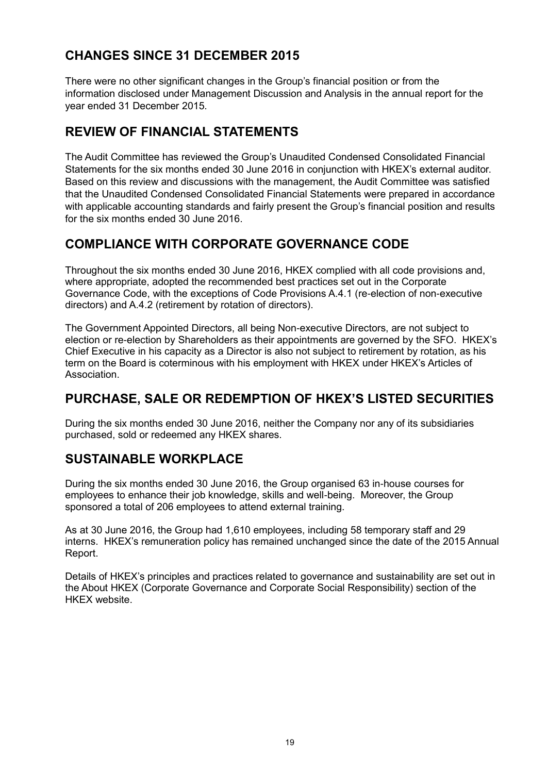# **CHANGES SINCE 31 DECEMBER 2015**

There were no other significant changes in the Group's financial position or from the information disclosed under Management Discussion and Analysis in the annual report for the year ended 31 December 2015.

# **REVIEW OF FINANCIAL STATEMENTS**

The Audit Committee has reviewed the Group's Unaudited Condensed Consolidated Financial Statements for the six months ended 30 June 2016 in conjunction with HKEX's external auditor. Based on this review and discussions with the management, the Audit Committee was satisfied that the Unaudited Condensed Consolidated Financial Statements were prepared in accordance with applicable accounting standards and fairly present the Group's financial position and results for the six months ended 30 June 2016.

# **COMPLIANCE WITH CORPORATE GOVERNANCE CODE**

Throughout the six months ended 30 June 2016, HKEX complied with all code provisions and, where appropriate, adopted the recommended best practices set out in the Corporate Governance Code, with the exceptions of Code Provisions A.4.1 (re-election of non-executive directors) and A.4.2 (retirement by rotation of directors).

The Government Appointed Directors, all being Non-executive Directors, are not subject to election or re-election by Shareholders as their appointments are governed by the SFO. HKEX's Chief Executive in his capacity as a Director is also not subject to retirement by rotation, as his term on the Board is coterminous with his employment with HKEX under HKEX's Articles of Association.

# **PURCHASE, SALE OR REDEMPTION OF HKEX'S LISTED SECURITIES**

During the six months ended 30 June 2016, neither the Company nor any of its subsidiaries purchased, sold or redeemed any HKEX shares.

# **SUSTAINABLE WORKPLACE**

During the six months ended 30 June 2016, the Group organised 63 in-house courses for employees to enhance their job knowledge, skills and well-being. Moreover, the Group sponsored a total of 206 employees to attend external training.

As at 30 June 2016, the Group had 1,610 employees, including 58 temporary staff and 29 interns. HKEX's remuneration policy has remained unchanged since the date of the 2015 Annual Report.

Details of HKEX's principles and practices related to governance and sustainability are set out in the About HKEX (Corporate Governance and Corporate Social Responsibility) section of the HKEX website.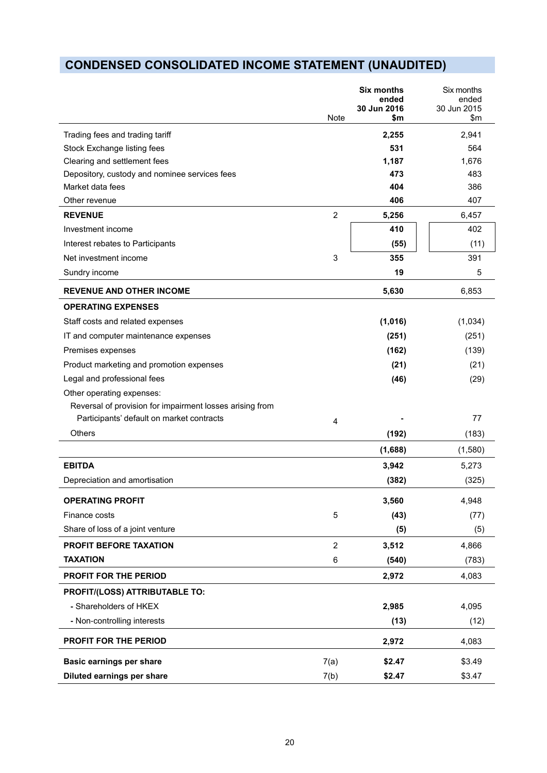# **CONDENSED CONSOLIDATED INCOME STATEMENT (UNAUDITED)**

|                                                          | Note           | <b>Six months</b><br>ended<br>30 Jun 2016<br>\$m | Six months<br>ended<br>30 Jun 2015<br>$\mathsf{S}$ m |
|----------------------------------------------------------|----------------|--------------------------------------------------|------------------------------------------------------|
| Trading fees and trading tariff                          |                | 2,255                                            | 2,941                                                |
| Stock Exchange listing fees                              |                | 531                                              | 564                                                  |
| Clearing and settlement fees                             |                | 1,187                                            | 1,676                                                |
| Depository, custody and nominee services fees            |                | 473                                              | 483                                                  |
| Market data fees                                         |                | 404                                              | 386                                                  |
| Other revenue                                            |                | 406                                              | 407                                                  |
| <b>REVENUE</b>                                           | $\overline{2}$ | 5,256                                            | 6,457                                                |
| Investment income                                        |                | 410                                              | 402                                                  |
| Interest rebates to Participants                         |                | (55)                                             | (11)                                                 |
| Net investment income                                    | 3              | 355                                              | 391                                                  |
| Sundry income                                            |                | 19                                               | 5                                                    |
| <b>REVENUE AND OTHER INCOME</b>                          |                | 5,630                                            | 6,853                                                |
| <b>OPERATING EXPENSES</b>                                |                |                                                  |                                                      |
| Staff costs and related expenses                         |                | (1,016)                                          | (1,034)                                              |
| IT and computer maintenance expenses                     |                | (251)                                            | (251)                                                |
| Premises expenses                                        |                | (162)                                            | (139)                                                |
| Product marketing and promotion expenses                 |                | (21)                                             | (21)                                                 |
| Legal and professional fees                              |                | (46)                                             | (29)                                                 |
| Other operating expenses:                                |                |                                                  |                                                      |
| Reversal of provision for impairment losses arising from |                |                                                  |                                                      |
| Participants' default on market contracts                | $\overline{4}$ |                                                  | 77                                                   |
| Others                                                   |                | (192)                                            | (183)                                                |
|                                                          |                | (1,688)                                          | (1,580)                                              |
| <b>EBITDA</b>                                            |                | 3,942                                            | 5,273                                                |
| Depreciation and amortisation                            |                | (382)                                            | (325)                                                |
| <b>OPERATING PROFIT</b>                                  |                | 3,560                                            | 4,948                                                |
| Finance costs                                            | $\sqrt{5}$     | (43)                                             | (77)                                                 |
| Share of loss of a joint venture                         |                | (5)                                              | (5)                                                  |
| PROFIT BEFORE TAXATION                                   | $\overline{2}$ | 3,512                                            | 4,866                                                |
| <b>TAXATION</b>                                          | 6              | (540)                                            | (783)                                                |
| <b>PROFIT FOR THE PERIOD</b>                             |                | 2,972                                            | 4,083                                                |
| PROFIT/(LOSS) ATTRIBUTABLE TO:                           |                |                                                  |                                                      |
| - Shareholders of HKEX                                   |                | 2,985                                            | 4,095                                                |
| - Non-controlling interests                              |                | (13)                                             | (12)                                                 |
| <b>PROFIT FOR THE PERIOD</b>                             |                | 2,972                                            | 4,083                                                |
| <b>Basic earnings per share</b>                          | 7(a)           | \$2.47                                           | \$3.49                                               |
| Diluted earnings per share                               | 7(b)           | \$2.47                                           | \$3.47                                               |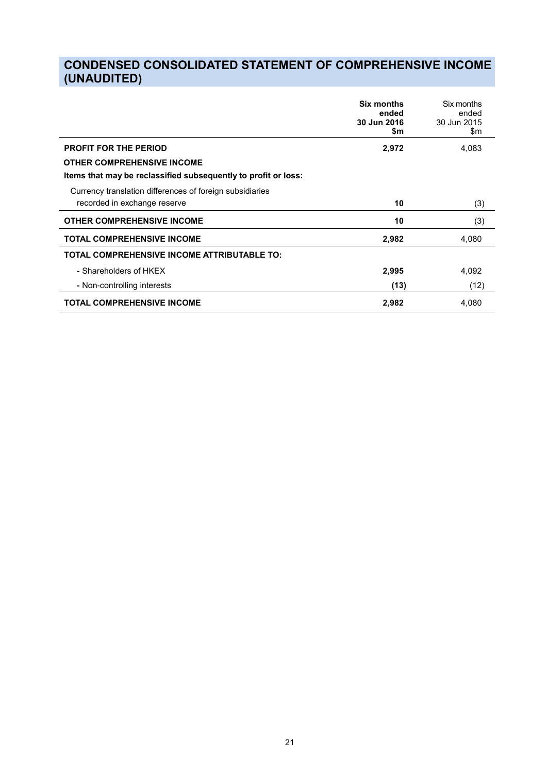# **CONDENSED CONSOLIDATED STATEMENT OF COMPREHENSIVE INCOME (UNAUDITED)**

|                                                                | <b>Six months</b><br>ended<br>30 Jun 2016<br>\$m | Six months<br>ended<br>30 Jun 2015<br>\$m |
|----------------------------------------------------------------|--------------------------------------------------|-------------------------------------------|
| <b>PROFIT FOR THE PERIOD</b>                                   | 2,972                                            | 4,083                                     |
| <b>OTHER COMPREHENSIVE INCOME</b>                              |                                                  |                                           |
| Items that may be reclassified subsequently to profit or loss: |                                                  |                                           |
| Currency translation differences of foreign subsidiaries       |                                                  |                                           |
| recorded in exchange reserve                                   | 10                                               | (3)                                       |
| <b>OTHER COMPREHENSIVE INCOME</b>                              | 10                                               | (3)                                       |
| <b>TOTAL COMPREHENSIVE INCOME</b>                              | 2,982                                            | 4,080                                     |
| TOTAL COMPREHENSIVE INCOME ATTRIBUTABLE TO:                    |                                                  |                                           |
| - Shareholders of HKEX                                         | 2,995                                            | 4,092                                     |
| - Non-controlling interests                                    | (13)                                             | (12)                                      |
| <b>TOTAL COMPREHENSIVE INCOME</b>                              | 2,982                                            | 4,080                                     |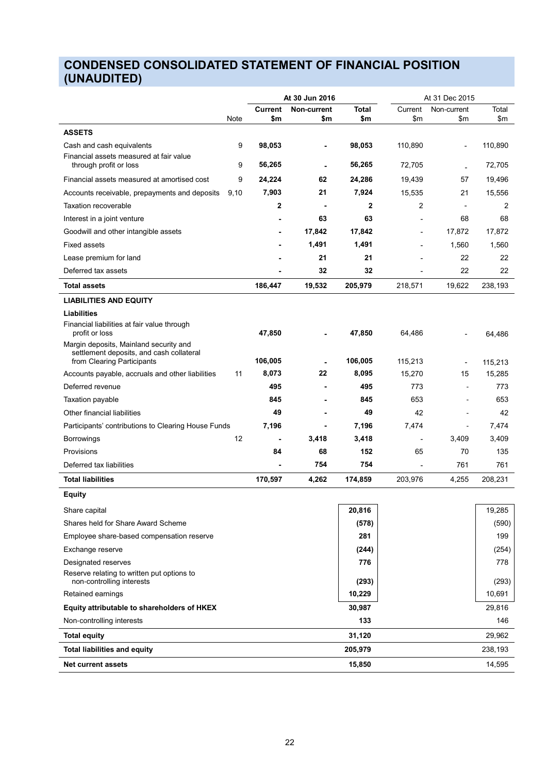# **CONDENSED CONSOLIDATED STATEMENT OF FINANCIAL POSITION (UNAUDITED)**

|                                                                                                                  |                | At 30 Jun 2016 |              |         | At 31 Dec 2015                 |                   |
|------------------------------------------------------------------------------------------------------------------|----------------|----------------|--------------|---------|--------------------------------|-------------------|
|                                                                                                                  | <b>Current</b> | Non-current    | <b>Total</b> | Current | Non-current                    | Total             |
| Note                                                                                                             | \$m            | \$m            | \$m          | \$m     | \$m                            | \$m               |
| <b>ASSETS</b>                                                                                                    |                |                |              |         |                                |                   |
| 9<br>Cash and cash equivalents<br>Financial assets measured at fair value                                        | 98,053         |                | 98,053       | 110,890 |                                | 110,890           |
| 9<br>through profit or loss                                                                                      | 56,265         |                | 56,265       | 72,705  |                                | 72,705            |
| 9<br>Financial assets measured at amortised cost                                                                 | 24,224         | 62             | 24,286       | 19,439  | 57                             | 19,496            |
| 9,10<br>Accounts receivable, prepayments and deposits                                                            | 7,903          | 21             | 7,924        | 15,535  | 21                             | 15,556            |
| <b>Taxation recoverable</b>                                                                                      | 2              |                | 2            | 2       |                                | 2                 |
| Interest in a joint venture                                                                                      |                | 63             | 63           |         | 68                             | 68                |
| Goodwill and other intangible assets                                                                             |                | 17,842         | 17,842       | ٠       | 17,872                         | 17,872            |
| <b>Fixed assets</b>                                                                                              |                | 1,491          | 1,491        |         | 1,560                          | 1,560             |
| Lease premium for land                                                                                           |                | 21             | 21           |         | 22                             | 22                |
| Deferred tax assets                                                                                              |                | 32             | 32           |         | 22                             | 22                |
| Total assets                                                                                                     | 186,447        | 19,532         | 205,979      | 218,571 | 19,622                         | 238,193           |
| <b>LIABILITIES AND EQUITY</b>                                                                                    |                |                |              |         |                                |                   |
| Liabilities                                                                                                      |                |                |              |         |                                |                   |
| Financial liabilities at fair value through<br>profit or loss                                                    | 47,850         |                | 47,850       | 64,486  |                                | 64.486            |
| Margin deposits, Mainland security and<br>settlement deposits, and cash collateral<br>from Clearing Participants | 106,005        |                | 106,005      | 115,213 |                                |                   |
| Accounts payable, accruals and other liabilities<br>11                                                           | 8,073          | 22             | 8,095        | 15,270  | $\overline{\phantom{a}}$<br>15 | 115,213<br>15,285 |
| Deferred revenue                                                                                                 | 495            |                | 495          | 773     | $\blacksquare$                 | 773               |
| <b>Taxation payable</b>                                                                                          | 845            |                | 845          | 653     | ÷,                             | 653               |
| Other financial liabilities                                                                                      | 49             |                | 49           | 42      | $\blacksquare$                 | 42                |
| Participants' contributions to Clearing House Funds                                                              | 7,196          |                | 7,196        | 7,474   | ÷,                             | 7,474             |
| 12<br><b>Borrowings</b>                                                                                          |                | 3,418          | 3,418        | ٠       | 3,409                          | 3,409             |
| Provisions                                                                                                       | 84             | 68             | 152          | 65      | 70                             | 135               |
| Deferred tax liabilities                                                                                         |                | 754            | 754          |         | 761                            | 761               |
| <b>Total liabilities</b>                                                                                         | 170,597        | 4,262          | 174,859      | 203,976 | 4,255                          | 208,231           |
|                                                                                                                  |                |                |              |         |                                |                   |
| <b>Equity</b>                                                                                                    |                |                |              |         |                                |                   |
| Share capital                                                                                                    |                |                | 20,816       |         |                                | 19,285            |
| Shares held for Share Award Scheme                                                                               |                |                | (578)        |         |                                | (590)             |
| Employee share-based compensation reserve                                                                        |                |                | 281          |         |                                | 199               |
| Exchange reserve                                                                                                 |                |                | (244)        |         |                                | (254)             |
| Designated reserves                                                                                              |                |                | 776          |         |                                | 778               |
| Reserve relating to written put options to<br>non-controlling interests                                          |                |                | (293)        |         |                                | (293)             |
| Retained earnings                                                                                                |                |                | 10,229       |         |                                | 10,691            |
| Equity attributable to shareholders of HKEX                                                                      |                |                | 30,987       |         |                                | 29,816            |
| Non-controlling interests                                                                                        |                |                | 133          |         |                                | 146               |
| <b>Total equity</b>                                                                                              |                |                | 31,120       |         |                                | 29,962            |
| <b>Total liabilities and equity</b>                                                                              |                |                | 205,979      |         |                                | 238,193           |
| <b>Net current assets</b>                                                                                        |                |                | 15,850       |         |                                | 14,595            |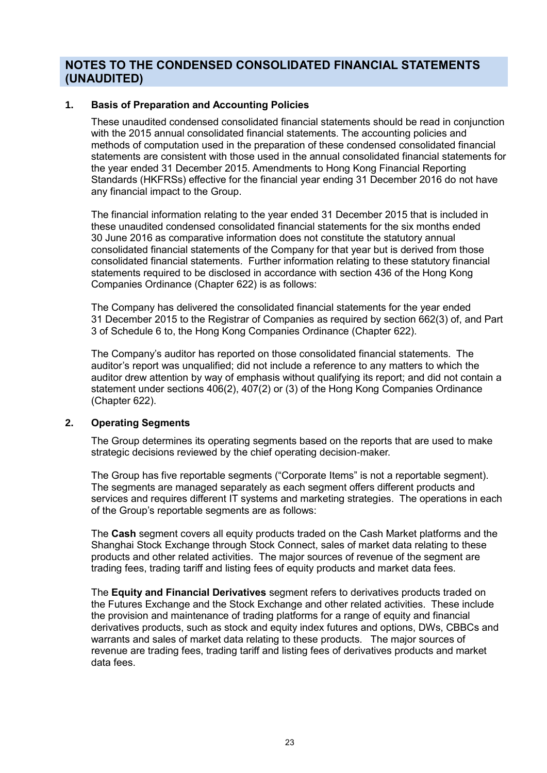# **NOTES TO THE CONDENSED CONSOLIDATED FINANCIAL STATEMENTS (UNAUDITED)**

#### **1. Basis of Preparation and Accounting Policies**

These unaudited condensed consolidated financial statements should be read in conjunction with the 2015 annual consolidated financial statements. The accounting policies and methods of computation used in the preparation of these condensed consolidated financial statements are consistent with those used in the annual consolidated financial statements for the year ended 31 December 2015. Amendments to Hong Kong Financial Reporting Standards (HKFRSs) effective for the financial year ending 31 December 2016 do not have any financial impact to the Group.

The financial information relating to the year ended 31 December 2015 that is included in these unaudited condensed consolidated financial statements for the six months ended 30 June 2016 as comparative information does not constitute the statutory annual consolidated financial statements of the Company for that year but is derived from those consolidated financial statements. Further information relating to these statutory financial statements required to be disclosed in accordance with section 436 of the Hong Kong Companies Ordinance (Chapter 622) is as follows:

The Company has delivered the consolidated financial statements for the year ended 31 December 2015 to the Registrar of Companies as required by section 662(3) of, and Part 3 of Schedule 6 to, the Hong Kong Companies Ordinance (Chapter 622).

The Company's auditor has reported on those consolidated financial statements. The auditor's report was unqualified; did not include a reference to any matters to which the auditor drew attention by way of emphasis without qualifying its report; and did not contain a statement under sections 406(2), 407(2) or (3) of the Hong Kong Companies Ordinance (Chapter 622).

#### **2. Operating Segments**

The Group determines its operating segments based on the reports that are used to make strategic decisions reviewed by the chief operating decision-maker.

The Group has five reportable segments ("Corporate Items" is not a reportable segment). The segments are managed separately as each segment offers different products and services and requires different IT systems and marketing strategies. The operations in each of the Group's reportable segments are as follows:

The **Cash** segment covers all equity products traded on the Cash Market platforms and the Shanghai Stock Exchange through Stock Connect, sales of market data relating to these products and other related activities. The major sources of revenue of the segment are trading fees, trading tariff and listing fees of equity products and market data fees.

The **Equity and Financial Derivatives** segment refers to derivatives products traded on the Futures Exchange and the Stock Exchange and other related activities. These include the provision and maintenance of trading platforms for a range of equity and financial derivatives products, such as stock and equity index futures and options, DWs, CBBCs and warrants and sales of market data relating to these products. The major sources of revenue are trading fees, trading tariff and listing fees of derivatives products and market data fees.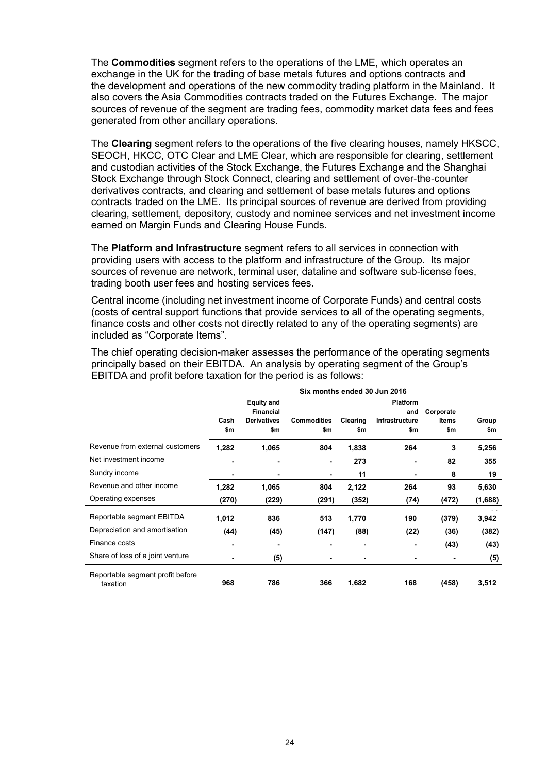The **Commodities** segment refers to the operations of the LME, which operates an exchange in the UK for the trading of base metals futures and options contracts and the development and operations of the new commodity trading platform in the Mainland. It also covers the Asia Commodities contracts traded on the Futures Exchange. The major sources of revenue of the segment are trading fees, commodity market data fees and fees generated from other ancillary operations.

The **Clearing** segment refers to the operations of the five clearing houses, namely HKSCC, SEOCH, HKCC, OTC Clear and LME Clear, which are responsible for clearing, settlement and custodian activities of the Stock Exchange, the Futures Exchange and the Shanghai Stock Exchange through Stock Connect, clearing and settlement of over-the-counter derivatives contracts, and clearing and settlement of base metals futures and options contracts traded on the LME. Its principal sources of revenue are derived from providing clearing, settlement, depository, custody and nominee services and net investment income earned on Margin Funds and Clearing House Funds.

The **Platform and Infrastructure** segment refers to all services in connection with providing users with access to the platform and infrastructure of the Group. Its major sources of revenue are network, terminal user, dataline and software sub-license fees, trading booth user fees and hosting services fees.

Central income (including net investment income of Corporate Funds) and central costs (costs of central support functions that provide services to all of the operating segments, finance costs and other costs not directly related to any of the operating segments) are included as "Corporate Items".

The chief operating decision-maker assesses the performance of the operating segments principally based on their EBITDA. An analysis by operating segment of the Group's EBITDA and profit before taxation for the period is as follows:

|                                              | Six months ended 30 Jun 2016 |                    |                    |          |                |           |         |
|----------------------------------------------|------------------------------|--------------------|--------------------|----------|----------------|-----------|---------|
|                                              |                              | <b>Equity and</b>  |                    |          | Platform       |           |         |
|                                              |                              | <b>Financial</b>   |                    |          | and            | Corporate |         |
|                                              | Cash                         | <b>Derivatives</b> | <b>Commodities</b> | Clearing | Infrastructure | Items     | Group   |
|                                              | \$m                          | \$m                | \$m                | \$m      | \$m            | \$m       | \$m     |
| Revenue from external customers              | 1,282                        | 1,065              | 804                | 1,838    | 264            | 3         | 5,256   |
| Net investment income                        | $\overline{\phantom{0}}$     | ٠                  | ٠                  | 273      | -              | 82        | 355     |
| Sundry income                                | $\blacksquare$               | ٠                  | ٠                  | 11       | -              | 8         | 19      |
| Revenue and other income                     | 1,282                        | 1,065              | 804                | 2,122    | 264            | 93        | 5,630   |
| Operating expenses                           | (270)                        | (229)              | (291)              | (352)    | (74)           | (472)     | (1,688) |
| Reportable segment EBITDA                    | 1,012                        | 836                | 513                | 1,770    | 190            | (379)     | 3,942   |
| Depreciation and amortisation                | (44)                         | (45)               | (147)              | (88)     | (22)           | (36)      | (382)   |
| Finance costs                                | $\blacksquare$               | -                  |                    | ٠        | -              | (43)      | (43)    |
| Share of loss of a joint venture             |                              | (5)                |                    |          |                |           | (5)     |
| Reportable segment profit before<br>taxation | 968                          | 786                | 366                | 1,682    | 168            | (458)     | 3,512   |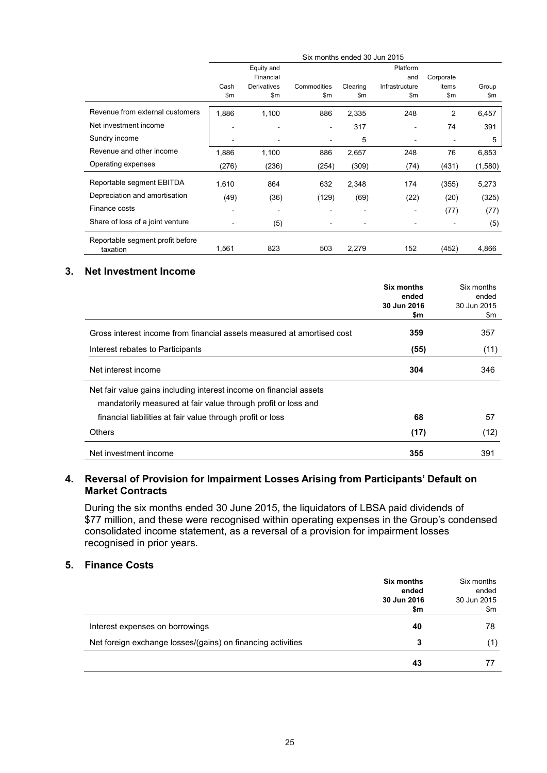|                                  |                          |                    |                | Six months ended 30 Jun 2015 |                          |                |         |
|----------------------------------|--------------------------|--------------------|----------------|------------------------------|--------------------------|----------------|---------|
|                                  |                          | Equity and         |                |                              | Platform                 |                |         |
|                                  |                          | Financial          |                |                              | and                      | Corporate      |         |
|                                  | Cash                     | <b>Derivatives</b> | Commodities    | Clearing                     | Infrastructure           | Items          | Group   |
|                                  | \$m\$                    | \$m                | \$m\$          | \$m                          | \$m                      | \$m            | \$m     |
| Revenue from external customers  | 1,886                    | 1,100              | 886            | 2,335                        | 248                      | $\overline{c}$ | 6,457   |
| Net investment income            |                          |                    | $\blacksquare$ | 317                          | ۰                        | 74             | 391     |
| Sundry income                    | $\overline{\phantom{a}}$ |                    | ٠              | 5                            | $\overline{\phantom{a}}$ | ۰              | 5       |
| Revenue and other income         | 1,886                    | 1,100              | 886            | 2,657                        | 248                      | 76             | 6,853   |
| Operating expenses               | (276)                    | (236)              | (254)          | (309)                        | (74)                     | (431)          | (1,580) |
| Reportable segment EBITDA        | 1,610                    | 864                | 632            | 2,348                        | 174                      | (355)          | 5,273   |
| Depreciation and amortisation    | (49)                     | (36)               | (129)          | (69)                         | (22)                     | (20)           | (325)   |
| Finance costs                    | ٠                        |                    |                | $\blacksquare$               | ۰                        | (77)           | (77)    |
| Share of loss of a joint venture |                          | (5)                |                |                              |                          | ۰              | (5)     |
| Reportable segment profit before |                          |                    |                |                              |                          |                |         |
| taxation                         | 1,561                    | 823                | 503            | 2,279                        | 152                      | (452)          | 4,866   |

#### **3. Net Investment Income**

|                                                                        | Six months<br>ended | Six months<br>ended |
|------------------------------------------------------------------------|---------------------|---------------------|
|                                                                        | 30 Jun 2016         | 30 Jun 2015         |
|                                                                        | \$m                 | \$m                 |
| Gross interest income from financial assets measured at amortised cost | 359                 | 357                 |
| Interest rebates to Participants                                       | (55)                | (11)                |
| Net interest income                                                    | 304                 | 346                 |
| Net fair value gains including interest income on financial assets     |                     |                     |
| mandatorily measured at fair value through profit or loss and          |                     |                     |
| financial liabilities at fair value through profit or loss             | 68                  | 57                  |
| <b>Others</b>                                                          | (17)                | (12)                |
| Net investment income                                                  | 355                 | 391                 |

# **4. Reversal of Provision for Impairment Losses Arising from Participants' Default on Market Contracts**

During the six months ended 30 June 2015, the liquidators of LBSA paid dividends of \$77 million, and these were recognised within operating expenses in the Group's condensed consolidated income statement, as a reversal of a provision for impairment losses recognised in prior years.

#### **5. Finance Costs**

|                                                             | <b>Six months</b><br>ended<br>30 Jun 2016<br>\$m | Six months<br>ended<br>30 Jun 2015<br>\$m |
|-------------------------------------------------------------|--------------------------------------------------|-------------------------------------------|
| Interest expenses on borrowings                             | 40                                               | 78                                        |
| Net foreign exchange losses/(gains) on financing activities | 3                                                | (1)                                       |
|                                                             | 43                                               |                                           |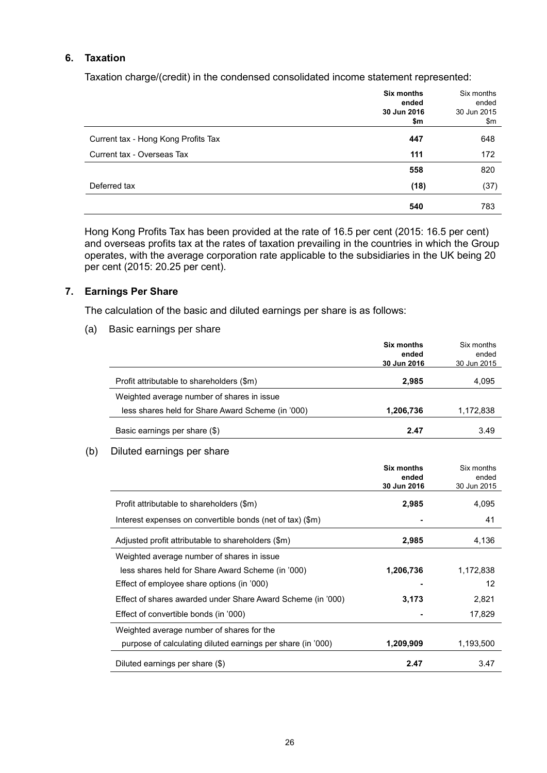#### **6. Taxation**

Taxation charge/(credit) in the condensed consolidated income statement represented:

|                                     | <b>Six months</b><br>ended<br>30 Jun 2016<br>\$m | Six months<br>ended<br>30 Jun 2015<br>\$m |
|-------------------------------------|--------------------------------------------------|-------------------------------------------|
| Current tax - Hong Kong Profits Tax | 447                                              | 648                                       |
| Current tax - Overseas Tax          | 111                                              | 172                                       |
|                                     | 558                                              | 820                                       |
| Deferred tax                        | (18)                                             | (37)                                      |
|                                     | 540                                              | 783                                       |

Hong Kong Profits Tax has been provided at the rate of 16.5 per cent (2015: 16.5 per cent) and overseas profits tax at the rates of taxation prevailing in the countries in which the Group operates, with the average corporation rate applicable to the subsidiaries in the UK being 20 per cent (2015: 20.25 per cent).

#### **7. Earnings Per Share**

The calculation of the basic and diluted earnings per share is as follows:

(a) Basic earnings per share

|                                                   | Six months<br>ended<br>30 Jun 2016 | Six months<br>ended<br>30 Jun 2015 |
|---------------------------------------------------|------------------------------------|------------------------------------|
| Profit attributable to shareholders (\$m)         | 2,985                              | 4,095                              |
| Weighted average number of shares in issue        |                                    |                                    |
| less shares held for Share Award Scheme (in '000) | 1,206,736                          | 1,172,838                          |
| Basic earnings per share (\$)                     | 2.47                               | 3.49                               |

#### (b) Diluted earnings per share

|                                                             | Six months<br>ended<br>30 Jun 2016 | Six months<br>ended<br>30 Jun 2015 |
|-------------------------------------------------------------|------------------------------------|------------------------------------|
|                                                             |                                    |                                    |
| Profit attributable to shareholders (\$m)                   | 2,985                              | 4,095                              |
| Interest expenses on convertible bonds (net of tax) (\$m)   |                                    | 41                                 |
| Adjusted profit attributable to shareholders (\$m)          | 2,985                              | 4,136                              |
| Weighted average number of shares in issue                  |                                    |                                    |
| less shares held for Share Award Scheme (in '000)           | 1,206,736                          | 1,172,838                          |
| Effect of employee share options (in '000)                  |                                    | 12                                 |
| Effect of shares awarded under Share Award Scheme (in '000) | 3,173                              | 2,821                              |
| Effect of convertible bonds (in '000)                       |                                    | 17,829                             |
| Weighted average number of shares for the                   |                                    |                                    |
| purpose of calculating diluted earnings per share (in '000) | 1,209,909                          | 1,193,500                          |
| Diluted earnings per share (\$)                             | 2.47                               | 3.47                               |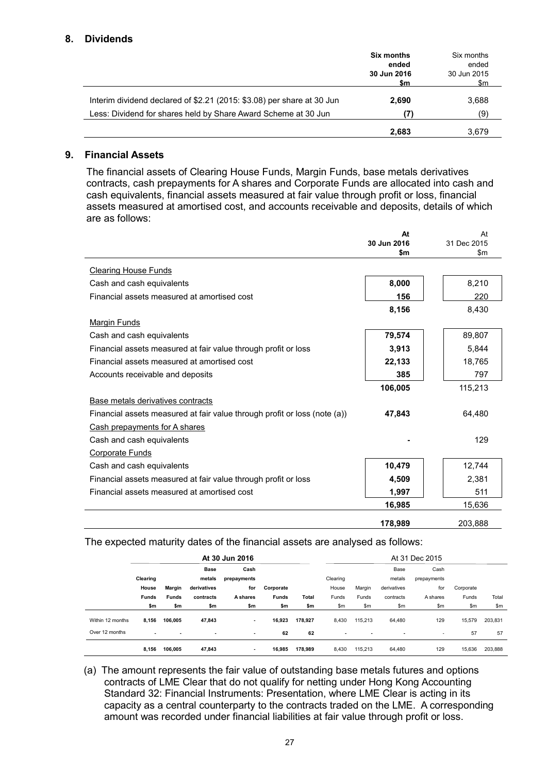### **8. Dividends**

|                                                                        | <b>Six months</b><br>ended<br>30 Jun 2016<br>\$m | Six months<br>ended<br>30 Jun 2015<br>\$m |
|------------------------------------------------------------------------|--------------------------------------------------|-------------------------------------------|
| Interim dividend declared of \$2.21 (2015: \$3.08) per share at 30 Jun | 2.690                                            | 3.688                                     |
| Less: Dividend for shares held by Share Award Scheme at 30 Jun         | (7)                                              | (9)                                       |
|                                                                        | 2,683                                            | 3,679                                     |

#### **9. Financial Assets**

The financial assets of Clearing House Funds, Margin Funds, base metals derivatives contracts, cash prepayments for A shares and Corporate Funds are allocated into cash and cash equivalents, financial assets measured at fair value through profit or loss, financial assets measured at amortised cost, and accounts receivable and deposits, details of which are as follows:

|                                                                           | At<br>30 Jun 2016 | At<br>31 Dec 2015 |
|---------------------------------------------------------------------------|-------------------|-------------------|
|                                                                           | \$m               | \$m               |
| <b>Clearing House Funds</b>                                               |                   |                   |
| Cash and cash equivalents                                                 | 8,000             | 8,210             |
| Financial assets measured at amortised cost                               | 156               | 220               |
|                                                                           | 8,156             | 8,430             |
| <b>Margin Funds</b>                                                       |                   |                   |
| Cash and cash equivalents                                                 | 79,574            | 89,807            |
| Financial assets measured at fair value through profit or loss            | 3,913             | 5,844             |
| Financial assets measured at amortised cost                               | 22,133            | 18,765            |
| Accounts receivable and deposits                                          | 385               | 797               |
|                                                                           | 106.005           | 115,213           |
| Base metals derivatives contracts                                         |                   |                   |
| Financial assets measured at fair value through profit or loss (note (a)) | 47,843            | 64,480            |
| Cash prepayments for A shares                                             |                   |                   |
| Cash and cash equivalents                                                 |                   | 129               |
| <b>Corporate Funds</b>                                                    |                   |                   |
| Cash and cash equivalents                                                 | 10,479            | 12,744            |
| Financial assets measured at fair value through profit or loss            | 4,509             | 2,381             |
| Financial assets measured at amortised cost                               | 1,997             | 511               |
|                                                                           | 16,985            | 15,636            |
|                                                                           | 178,989           | 203,888           |

# The expected maturity dates of the financial assets are analysed as follows:

|                  | At 30 Jun 2016 |              |                          |             |              |              |          | At 31 Dec 2015           |             |             |           |         |
|------------------|----------------|--------------|--------------------------|-------------|--------------|--------------|----------|--------------------------|-------------|-------------|-----------|---------|
|                  |                |              | Base                     | Cash        |              |              |          |                          | Base        | Cash        |           |         |
|                  | Clearing       |              | metals                   | prepayments |              |              | Clearing |                          | metals      | prepayments |           |         |
|                  | House          | Margin       | derivatives              | for         | Corporate    |              | House    | Margin                   | derivatives | for         | Corporate |         |
|                  | <b>Funds</b>   | <b>Funds</b> | contracts                | A shares    | <b>Funds</b> | <b>Total</b> | Funds    | Funds                    | contracts   | A shares    | Funds     | Total   |
|                  | \$m            | \$m          | \$m                      | \$m         | \$m          | \$m          | \$m      | \$m                      | \$m         | \$m         | \$m       | \$m\$   |
| Within 12 months | 8,156          | 106.005      | 47,843                   | ۰           | 16,923       | 178,927      | 8,430    | 115.213                  | 64,480      | 129         | 15,579    | 203,831 |
| Over 12 months   | $\blacksquare$ | ۰            | $\overline{\phantom{a}}$ | ۰           | 62           | 62           | ۰        | $\overline{\phantom{a}}$ | ٠           | ٠           | 57        | 57      |
|                  | 8,156          | 106.005      | 47,843                   |             | 16,985       | 178,989      | 8,430    | 115.213                  | 64,480      | 129         | 15,636    | 203,888 |

(a) The amount represents the fair value of outstanding base metals futures and options contracts of LME Clear that do not qualify for netting under Hong Kong Accounting Standard 32: Financial Instruments: Presentation, where LME Clear is acting in its capacity as a central counterparty to the contracts traded on the LME. A corresponding amount was recorded under financial liabilities at fair value through profit or loss.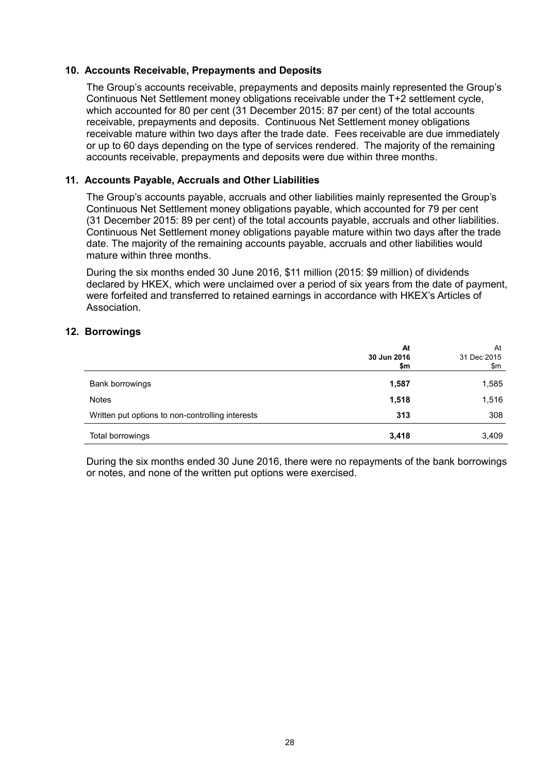#### **10. Accounts Receivable, Prepayments and Deposits**

The Group's accounts receivable, prepayments and deposits mainly represented the Group's Continuous Net Settlement money obligations receivable under the T+2 settlement cycle, which accounted for 80 per cent (31 December 2015: 87 per cent) of the total accounts receivable, prepayments and deposits. Continuous Net Settlement money obligations receivable mature within two days after the trade date. Fees receivable are due immediately or up to 60 days depending on the type of services rendered. The majority of the remaining accounts receivable, prepayments and deposits were due within three months.

### **11. Accounts Payable, Accruals and Other Liabilities**

The Group's accounts payable, accruals and other liabilities mainly represented the Group's Continuous Net Settlement money obligations payable, which accounted for 79 per cent (31 December 2015: 89 per cent) of the total accounts payable, accruals and other liabilities. Continuous Net Settlement money obligations payable mature within two days after the trade date. The majority of the remaining accounts payable, accruals and other liabilities would mature within three months.

During the six months ended 30 June 2016, \$11 million (2015: \$9 million) of dividends declared by HKEX, which were unclaimed over a period of six years from the date of payment, were forfeited and transferred to retained earnings in accordance with HKEX's Articles of Association.

#### **12. Borrowings**

|                                                  | At<br>30 Jun 2016<br>\$m | At<br>31 Dec 2015<br>\$m |
|--------------------------------------------------|--------------------------|--------------------------|
| Bank borrowings                                  | 1,587                    | 1,585                    |
| <b>Notes</b>                                     | 1,518                    | 1,516                    |
| Written put options to non-controlling interests | 313                      | 308                      |
| Total borrowings                                 | 3,418                    | 3,409                    |

During the six months ended 30 June 2016, there were no repayments of the bank borrowings or notes, and none of the written put options were exercised.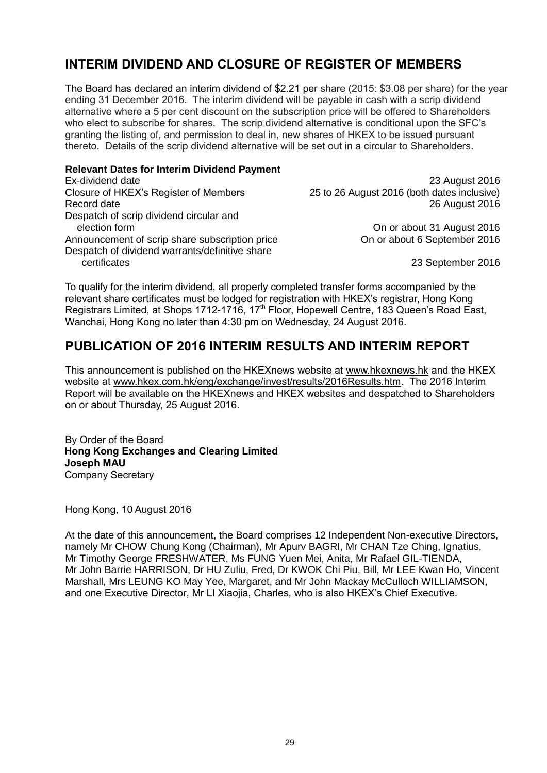# **INTERIM DIVIDEND AND CLOSURE OF REGISTER OF MEMBERS**

The Board has declared an interim dividend of \$2.21 per share (2015: \$3.08 per share) for the year ending 31 December 2016. The interim dividend will be payable in cash with a scrip dividend alternative where a 5 per cent discount on the subscription price will be offered to Shareholders who elect to subscribe for shares. The scrip dividend alternative is conditional upon the SFC's granting the listing of, and permission to deal in, new shares of HKEX to be issued pursuant thereto. Details of the scrip dividend alternative will be set out in a circular to Shareholders.

#### **Relevant Dates for Interim Dividend Payment**

Ex-dividend date 23 August 2016 Closure of HKEX's Register of Members 25 to 26 August 2016 (both dates inclusive) Record date 2016 Despatch of scrip dividend circular and Announcement of scrip share subscription price Despatch of dividend warrants/definitive share certificates 23 September 2016

On or about 31 August 2016<br>On or about 6 September 2016

To qualify for the interim dividend, all properly completed transfer forms accompanied by the relevant share certificates must be lodged for registration with HKEX's registrar, Hong Kong Registrars Limited, at Shops 1712-1716, 17<sup>th</sup> Floor, Hopewell Centre, 183 Queen's Road East, Wanchai, Hong Kong no later than 4:30 pm on Wednesday, 24 August 2016.

# **PUBLICATION OF 2016 INTERIM RESULTS AND INTERIM REPORT**

This announcement is published on the HKEXnews website at [www.hkexnews.hk](http://www.hkexnews.hk/) and the HKEX website at [www.hkex.com.hk/eng/exchange/invest/results/2016Results.htm.](http://www.hkex.com.hk/eng/exchange/invest/results/2016Results.htm) The 2016 Interim Report will be available on the HKEXnews and HKEX websites and despatched to Shareholders on or about Thursday, 25 August 2016.

By Order of the Board **Hong Kong Exchanges and Clearing Limited Joseph MAU** Company Secretary

Hong Kong, 10 August 2016

At the date of this announcement, the Board comprises 12 Independent Non-executive Directors, namely Mr CHOW Chung Kong (Chairman), Mr Apurv BAGRI, Mr CHAN Tze Ching, Ignatius, Mr Timothy George FRESHWATER, Ms FUNG Yuen Mei, Anita, Mr Rafael GIL-TIENDA, Mr John Barrie HARRISON, Dr HU Zuliu, Fred, Dr KWOK Chi Piu, Bill, Mr LEE Kwan Ho, Vincent Marshall, Mrs LEUNG KO May Yee, Margaret, and Mr John Mackay McCulloch WILLIAMSON, and one Executive Director, Mr LI Xiaojia, Charles, who is also HKEX's Chief Executive.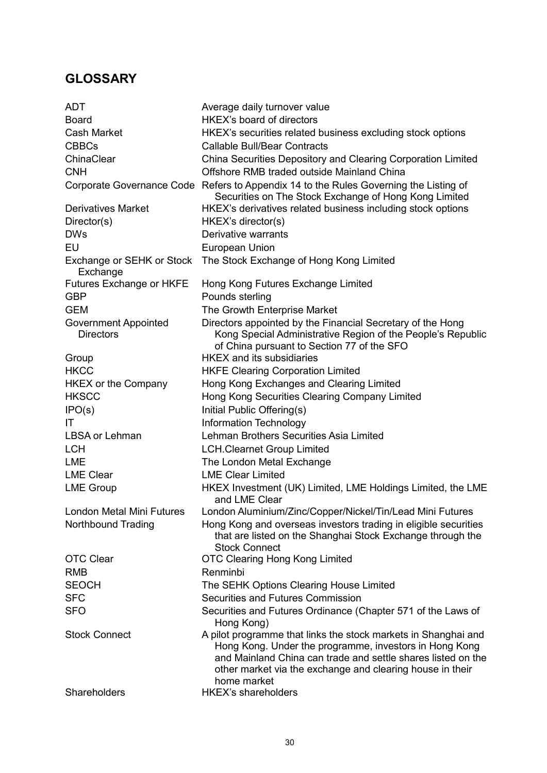# **GLOSSARY**

| <b>ADT</b>                                      | Average daily turnover value                                                                                                                                                                                                                                         |
|-------------------------------------------------|----------------------------------------------------------------------------------------------------------------------------------------------------------------------------------------------------------------------------------------------------------------------|
| <b>Board</b>                                    | HKEX's board of directors                                                                                                                                                                                                                                            |
| <b>Cash Market</b>                              | HKEX's securities related business excluding stock options                                                                                                                                                                                                           |
| <b>CBBCs</b>                                    | <b>Callable Bull/Bear Contracts</b>                                                                                                                                                                                                                                  |
| ChinaClear                                      | China Securities Depository and Clearing Corporation Limited                                                                                                                                                                                                         |
| <b>CNH</b>                                      | Offshore RMB traded outside Mainland China                                                                                                                                                                                                                           |
|                                                 | Corporate Governance Code Refers to Appendix 14 to the Rules Governing the Listing of<br>Securities on The Stock Exchange of Hong Kong Limited                                                                                                                       |
| <b>Derivatives Market</b>                       | HKEX's derivatives related business including stock options                                                                                                                                                                                                          |
| Director(s)                                     | HKEX's director(s)                                                                                                                                                                                                                                                   |
| <b>DWs</b>                                      | Derivative warrants                                                                                                                                                                                                                                                  |
| EU                                              | European Union                                                                                                                                                                                                                                                       |
| Exchange or SEHK or Stock<br>Exchange           | The Stock Exchange of Hong Kong Limited                                                                                                                                                                                                                              |
| Futures Exchange or HKFE                        | Hong Kong Futures Exchange Limited                                                                                                                                                                                                                                   |
| <b>GBP</b>                                      | Pounds sterling                                                                                                                                                                                                                                                      |
| <b>GEM</b>                                      | The Growth Enterprise Market                                                                                                                                                                                                                                         |
| <b>Government Appointed</b><br><b>Directors</b> | Directors appointed by the Financial Secretary of the Hong<br>Kong Special Administrative Region of the People's Republic<br>of China pursuant to Section 77 of the SFO                                                                                              |
| Group                                           | <b>HKEX</b> and its subsidiaries                                                                                                                                                                                                                                     |
| <b>HKCC</b>                                     | <b>HKFE Clearing Corporation Limited</b>                                                                                                                                                                                                                             |
| <b>HKEX or the Company</b>                      | Hong Kong Exchanges and Clearing Limited                                                                                                                                                                                                                             |
| <b>HKSCC</b>                                    | Hong Kong Securities Clearing Company Limited                                                                                                                                                                                                                        |
| IPO(s)                                          | Initial Public Offering(s)                                                                                                                                                                                                                                           |
| IT                                              | <b>Information Technology</b>                                                                                                                                                                                                                                        |
| LBSA or Lehman                                  | Lehman Brothers Securities Asia Limited                                                                                                                                                                                                                              |
| <b>LCH</b>                                      | <b>LCH.Clearnet Group Limited</b>                                                                                                                                                                                                                                    |
| <b>LME</b>                                      | The London Metal Exchange                                                                                                                                                                                                                                            |
| <b>LME Clear</b>                                | <b>LME Clear Limited</b>                                                                                                                                                                                                                                             |
| <b>LME Group</b>                                | HKEX Investment (UK) Limited, LME Holdings Limited, the LME<br>and LME Clear                                                                                                                                                                                         |
| London Metal Mini Futures                       | London Aluminium/Zinc/Copper/Nickel/Tin/Lead Mini Futures                                                                                                                                                                                                            |
| Northbound Trading                              | Hong Kong and overseas investors trading in eligible securities<br>that are listed on the Shanghai Stock Exchange through the<br><b>Stock Connect</b>                                                                                                                |
| <b>OTC Clear</b>                                | <b>OTC Clearing Hong Kong Limited</b>                                                                                                                                                                                                                                |
| <b>RMB</b>                                      | Renminbi                                                                                                                                                                                                                                                             |
| <b>SEOCH</b>                                    | The SEHK Options Clearing House Limited                                                                                                                                                                                                                              |
| <b>SFC</b>                                      | Securities and Futures Commission                                                                                                                                                                                                                                    |
| <b>SFO</b>                                      | Securities and Futures Ordinance (Chapter 571 of the Laws of<br>Hong Kong)                                                                                                                                                                                           |
| <b>Stock Connect</b>                            | A pilot programme that links the stock markets in Shanghai and<br>Hong Kong. Under the programme, investors in Hong Kong<br>and Mainland China can trade and settle shares listed on the<br>other market via the exchange and clearing house in their<br>home market |
| Shareholders                                    | <b>HKEX's shareholders</b>                                                                                                                                                                                                                                           |